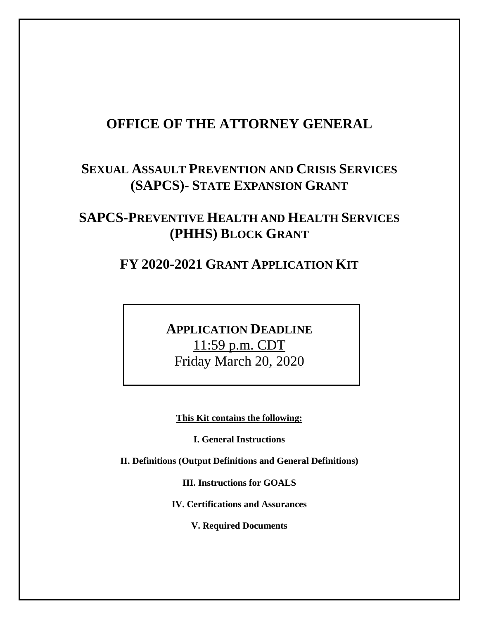# **OFFICE OF THE ATTORNEY GENERAL**

# **SEXUAL ASSAULT PREVENTION AND CRISIS SERVICES (SAPCS)- STATE EXPANSION GRANT**

# **SAPCS-PREVENTIVE HEALTH AND HEALTH SERVICES (PHHS) BLOCK GRANT**

# **FY 2020-2021 GRANT APPLICATION KIT**

**APPLICATION DEADLINE**  11:59 p.m. CDT Friday March 20, 2020

**This Kit contains the following:**

**I. General Instructions**

**II. Definitions (Output Definitions and General Definitions)**

**III. Instructions for GOALS**

**IV. Certifications and Assurances**

**V. Required Documents**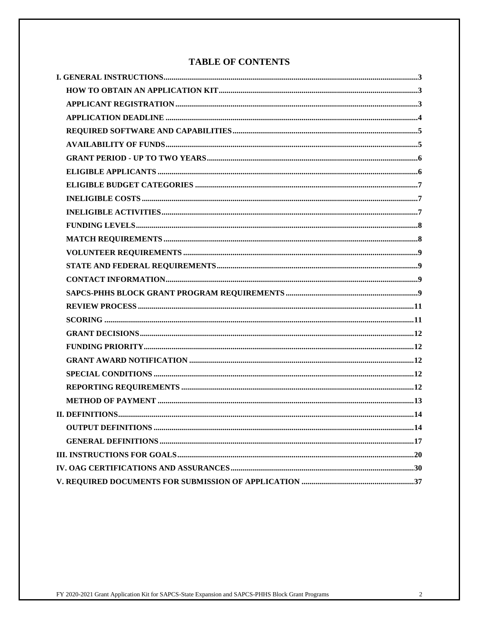## **TABLE OF CONTENTS**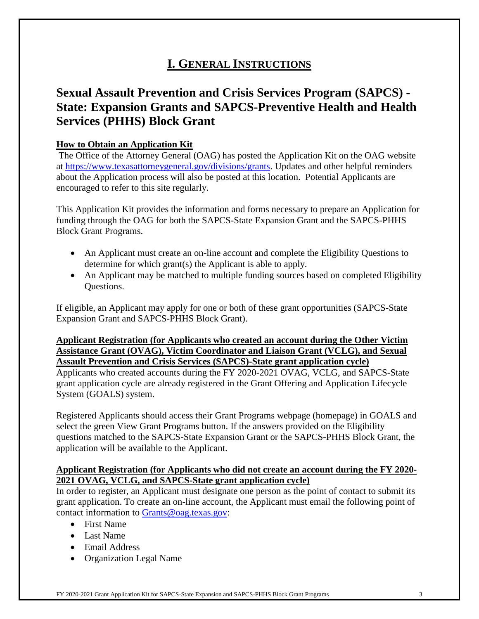# **I. GENERAL INSTRUCTIONS**

# **Sexual Assault Prevention and Crisis Services Program (SAPCS) - State: Expansion Grants and SAPCS-Preventive Health and Health Services (PHHS) Block Grant**

#### **How to Obtain an Application Kit**

The Office of the Attorney General (OAG) has posted the Application Kit on the OAG website at [https://www.texasattorneygeneral.gov/divisions/grants.](https://www.texasattorneygeneral.gov/divisions/grants) Updates and other helpful reminders about the Application process will also be posted at this location. Potential Applicants are encouraged to refer to this site regularly.

This Application Kit provides the information and forms necessary to prepare an Application for funding through the OAG for both the SAPCS-State Expansion Grant and the SAPCS-PHHS Block Grant Programs.

- An Applicant must create an on-line account and complete the Eligibility Questions to determine for which grant(s) the Applicant is able to apply.
- An Applicant may be matched to multiple funding sources based on completed Eligibility Questions.

If eligible, an Applicant may apply for one or both of these grant opportunities (SAPCS-State Expansion Grant and SAPCS-PHHS Block Grant).

#### **Applicant Registration (for Applicants who created an account during the Other Victim Assistance Grant (OVAG), Victim Coordinator and Liaison Grant (VCLG), and Sexual Assault Prevention and Crisis Services (SAPCS)-State grant application cycle)**

Applicants who created accounts during the FY 2020-2021 OVAG, VCLG, and SAPCS-State grant application cycle are already registered in the Grant Offering and Application Lifecycle System (GOALS) system.

Registered Applicants should access their Grant Programs webpage (homepage) in GOALS and select the green View Grant Programs button. If the answers provided on the Eligibility questions matched to the SAPCS-State Expansion Grant or the SAPCS-PHHS Block Grant, the application will be available to the Applicant.

#### **Applicant Registration (for Applicants who did not create an account during the FY 2020- 2021 OVAG, VCLG, and SAPCS-State grant application cycle)**

In order to register, an Applicant must designate one person as the point of contact to submit its grant application. To create an on-line account, the Applicant must email the following point of contact information to [Grants@oag.texas.gov:](mailto:Grants@oag.texas.gov)

- First Name
- Last Name
- Email Address
- Organization Legal Name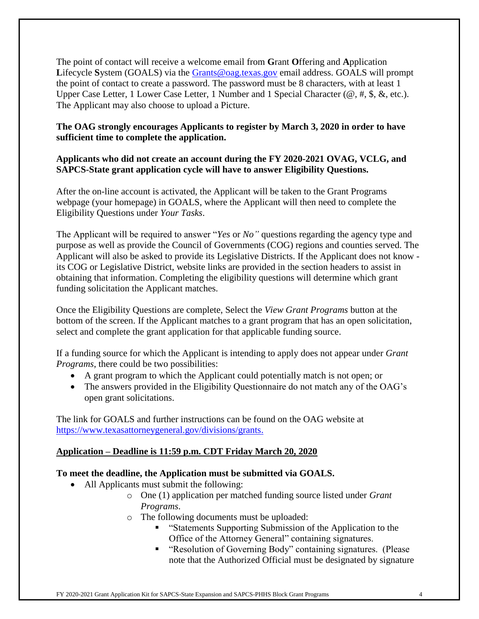The point of contact will receive a welcome email from **G**rant **O**ffering and **A**pplication Lifecycle System (GOALS) via the [Grants@oag.texas.gov](mailto:Grants@oag.texas.gov) email address. GOALS will prompt the point of contact to create a password. The password must be 8 characters, with at least 1 Upper Case Letter, 1 Lower Case Letter, 1 Number and 1 Special Character ( $\omega$ , #, \$, &, etc.). The Applicant may also choose to upload a Picture.

#### **The OAG strongly encourages Applicants to register by March 3, 2020 in order to have sufficient time to complete the application.**

#### **Applicants who did not create an account during the FY 2020-2021 OVAG, VCLG, and SAPCS-State grant application cycle will have to answer Eligibility Questions.**

After the on-line account is activated, the Applicant will be taken to the Grant Programs webpage (your homepage) in GOALS, where the Applicant will then need to complete the Eligibility Questions under *Your Tasks*.

The Applicant will be required to answer "*Yes* or *No"* questions regarding the agency type and purpose as well as provide the Council of Governments (COG) regions and counties served. The Applicant will also be asked to provide its Legislative Districts. If the Applicant does not know its COG or Legislative District, website links are provided in the section headers to assist in obtaining that information. Completing the eligibility questions will determine which grant funding solicitation the Applicant matches.

Once the Eligibility Questions are complete, Select the *View Grant Programs* button at the bottom of the screen. If the Applicant matches to a grant program that has an open solicitation, select and complete the grant application for that applicable funding source.

If a funding source for which the Applicant is intending to apply does not appear under *Grant Programs*, there could be two possibilities:

- A grant program to which the Applicant could potentially match is not open; or
- The answers provided in the Eligibility Questionnaire do not match any of the OAG's open grant solicitations.

The link for GOALS and further instructions can be found on the OAG website at [https://www.texasattorneygeneral.gov/divisions/grants.](https://www.texasattorneygeneral.gov/divisions/grants)

### **Application – Deadline is 11:59 p.m. CDT Friday March 20, 2020**

#### **To meet the deadline, the Application must be submitted via GOALS.**

- All Applicants must submit the following:
	- o One (1) application per matched funding source listed under *Grant Programs*.
	- o The following documents must be uploaded:
		- "Statements Supporting Submission of the Application to the Office of the Attorney General" containing signatures.
		- "Resolution of Governing Body" containing signatures. (Please note that the Authorized Official must be designated by signature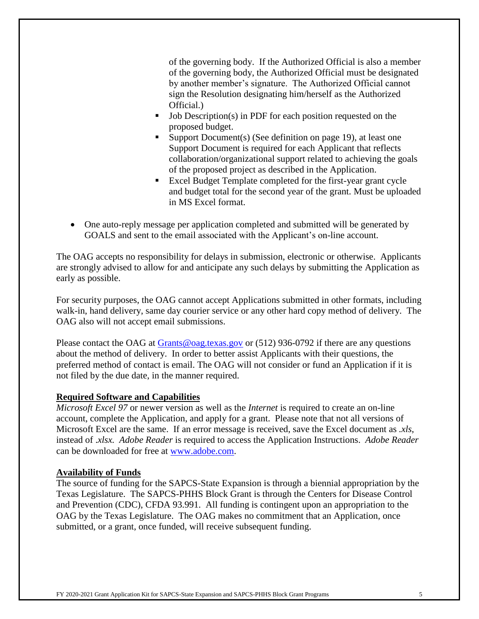of the governing body. If the Authorized Official is also a member of the governing body, the Authorized Official must be designated by another member's signature. The Authorized Official cannot sign the Resolution designating him/herself as the Authorized Official.)

- Job Description(s) in PDF for each position requested on the proposed budget.
- Support Document(s) (See definition on page 19), at least one Support Document is required for each Applicant that reflects collaboration/organizational support related to achieving the goals of the proposed project as described in the Application.
- Excel Budget Template completed for the first-year grant cycle and budget total for the second year of the grant. Must be uploaded in MS Excel format.
- One auto-reply message per application completed and submitted will be generated by GOALS and sent to the email associated with the Applicant's on-line account.

The OAG accepts no responsibility for delays in submission, electronic or otherwise. Applicants are strongly advised to allow for and anticipate any such delays by submitting the Application as early as possible.

For security purposes, the OAG cannot accept Applications submitted in other formats, including walk-in, hand delivery, same day courier service or any other hard copy method of delivery. The OAG also will not accept email submissions.

Please contact the OAG at [Grants@oag.texas.gov](mailto:Grants@oag.texas.gov) or (512) 936-0792 if there are any questions about the method of delivery. In order to better assist Applicants with their questions, the preferred method of contact is email. The OAG will not consider or fund an Application if it is not filed by the due date, in the manner required.

#### **Required Software and Capabilities**

*Microsoft Excel 97* or newer version as well as the *Internet* is required to create an on-line account, complete the Application, and apply for a grant. Please note that not all versions of Microsoft Excel are the same. If an error message is received, save the Excel document as *.xls*, instead of .*xlsx. Adobe Reader* is required to access the Application Instructions. *Adobe Reader*  can be downloaded for free at [www.adobe.com.](http://www.adobe.com/)

#### **Availability of Funds**

The source of funding for the SAPCS-State Expansion is through a biennial appropriation by the Texas Legislature. The SAPCS-PHHS Block Grant is through the Centers for Disease Control and Prevention (CDC), CFDA 93.991. All funding is contingent upon an appropriation to the OAG by the Texas Legislature. The OAG makes no commitment that an Application, once submitted, or a grant, once funded, will receive subsequent funding.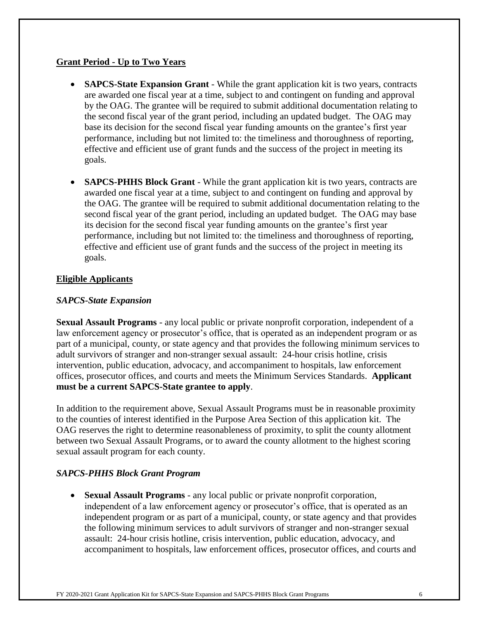#### **Grant Period - Up to Two Years**

- **SAPCS-State Expansion Grant** While the grant application kit is two years, contracts are awarded one fiscal year at a time, subject to and contingent on funding and approval by the OAG. The grantee will be required to submit additional documentation relating to the second fiscal year of the grant period, including an updated budget. The OAG may base its decision for the second fiscal year funding amounts on the grantee's first year performance, including but not limited to: the timeliness and thoroughness of reporting, effective and efficient use of grant funds and the success of the project in meeting its goals.
- **SAPCS-PHHS Block Grant** While the grant application kit is two years, contracts are awarded one fiscal year at a time, subject to and contingent on funding and approval by the OAG. The grantee will be required to submit additional documentation relating to the second fiscal year of the grant period, including an updated budget. The OAG may base its decision for the second fiscal year funding amounts on the grantee's first year performance, including but not limited to: the timeliness and thoroughness of reporting, effective and efficient use of grant funds and the success of the project in meeting its goals.

#### **Eligible Applicants**

#### *SAPCS-State Expansion*

**Sexual Assault Programs** *-* any local public or private nonprofit corporation, independent of a law enforcement agency or prosecutor's office, that is operated as an independent program or as part of a municipal, county, or state agency and that provides the following minimum services to adult survivors of stranger and non-stranger sexual assault: 24-hour crisis hotline, crisis intervention, public education, advocacy, and accompaniment to hospitals, law enforcement offices, prosecutor offices, and courts and meets the Minimum Services Standards. **Applicant must be a current SAPCS-State grantee to apply**.

In addition to the requirement above, Sexual Assault Programs must be in reasonable proximity to the counties of interest identified in the Purpose Area Section of this application kit. The OAG reserves the right to determine reasonableness of proximity, to split the county allotment between two Sexual Assault Programs, or to award the county allotment to the highest scoring sexual assault program for each county.

#### *SAPCS-PHHS Block Grant Program*

• **Sexual Assault Programs** *-* any local public or private nonprofit corporation, independent of a law enforcement agency or prosecutor's office, that is operated as an independent program or as part of a municipal, county, or state agency and that provides the following minimum services to adult survivors of stranger and non-stranger sexual assault: 24-hour crisis hotline, crisis intervention, public education, advocacy, and accompaniment to hospitals, law enforcement offices, prosecutor offices, and courts and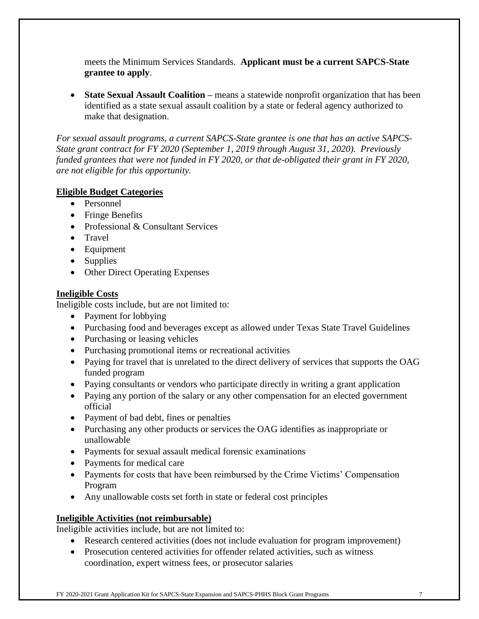meets the Minimum Services Standards. **Applicant must be a current SAPCS-State grantee to apply**.

• **State Sexual Assault Coalition** – means a statewide nonprofit organization that has been identified as a state sexual assault coalition by a state or federal agency authorized to make that designation.

*For sexual assault programs, a current SAPCS-State grantee is one that has an active SAPCS-State grant contract for FY 2020 (September 1, 2019 through August 31, 2020). Previously funded grantees that were not funded in FY 2020, or that de-obligated their grant in FY 2020, are not eligible for this opportunity.*

#### **Eligible Budget Categories**

- Personnel
- Fringe Benefits
- Professional & Consultant Services
- Travel
- Equipment
- Supplies
- Other Direct Operating Expenses

#### **Ineligible Costs**

Ineligible costs include, but are not limited to:

- Payment for lobbying
- Purchasing food and beverages except as allowed under Texas State Travel Guidelines
- Purchasing or leasing vehicles
- Purchasing promotional items or recreational activities
- Paying for travel that is unrelated to the direct delivery of services that supports the OAG funded program
- Paying consultants or vendors who participate directly in writing a grant application
- Paying any portion of the salary or any other compensation for an elected government official
- Payment of bad debt, fines or penalties
- Purchasing any other products or services the OAG identifies as inappropriate or unallowable
- Payments for sexual assault medical forensic examinations
- Payments for medical care
- Payments for costs that have been reimbursed by the Crime Victims' Compensation Program
- Any unallowable costs set forth in state or federal cost principles

### **Ineligible Activities (not reimbursable)**

Ineligible activities include, but are not limited to:

- Research centered activities (does not include evaluation for program improvement)
- Prosecution centered activities for offender related activities, such as witness coordination, expert witness fees, or prosecutor salaries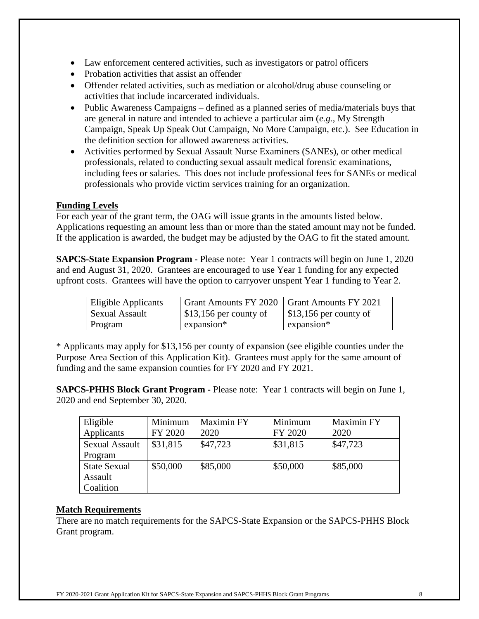- Law enforcement centered activities, such as investigators or patrol officers
- Probation activities that assist an offender
- Offender related activities, such as mediation or alcohol/drug abuse counseling or activities that include incarcerated individuals.
- Public Awareness Campaigns defined as a planned series of media/materials buys that are general in nature and intended to achieve a particular aim (*e.g.*, My Strength Campaign, Speak Up Speak Out Campaign, No More Campaign, etc.). See Education in the definition section for allowed awareness activities.
- Activities performed by Sexual Assault Nurse Examiners (SANEs), or other medical professionals, related to conducting sexual assault medical forensic examinations, including fees or salaries. This does not include professional fees for SANEs or medical professionals who provide victim services training for an organization.

#### **Funding Levels**

For each year of the grant term, the OAG will issue grants in the amounts listed below. Applications requesting an amount less than or more than the stated amount may not be funded. If the application is awarded, the budget may be adjusted by the OAG to fit the stated amount.

**SAPCS-State Expansion Program -** Please note: Year 1 contracts will begin on June 1, 2020 and end August 31, 2020. Grantees are encouraged to use Year 1 funding for any expected upfront costs. Grantees will have the option to carryover unspent Year 1 funding to Year 2.

| Eligible Applicants   | Grant Amounts FY 2020   Grant Amounts FY 2021 |                                      |
|-----------------------|-----------------------------------------------|--------------------------------------|
| <b>Sexual Assault</b> | $$13,156$ per county of                       | $\frac{1}{2}$ \$13,156 per county of |
| Program               | $expansion*$                                  | expansion*                           |

\* Applicants may apply for \$13,156 per county of expansion (see eligible counties under the Purpose Area Section of this Application Kit). Grantees must apply for the same amount of funding and the same expansion counties for FY 2020 and FY 2021.

**SAPCS-PHHS Block Grant Program -** Please note: Year 1 contracts will begin on June 1, 2020 and end September 30, 2020.

| Eligible              | Minimum  | Maximin FY | Minimum  | <b>Maximin FY</b> |
|-----------------------|----------|------------|----------|-------------------|
| Applicants            | FY 2020  | 2020       | FY 2020  | 2020              |
| <b>Sexual Assault</b> | \$31,815 | \$47,723   | \$31,815 | \$47,723          |
| Program               |          |            |          |                   |
| <b>State Sexual</b>   | \$50,000 | \$85,000   | \$50,000 | \$85,000          |
| Assault               |          |            |          |                   |
| Coalition             |          |            |          |                   |

#### **Match Requirements**

There are no match requirements for the SAPCS-State Expansion or the SAPCS-PHHS Block Grant program.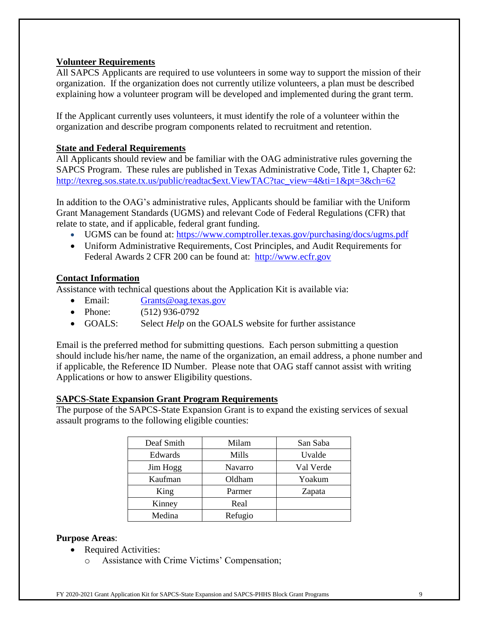#### **Volunteer Requirements**

All SAPCS Applicants are required to use volunteers in some way to support the mission of their organization. If the organization does not currently utilize volunteers, a plan must be described explaining how a volunteer program will be developed and implemented during the grant term.

If the Applicant currently uses volunteers, it must identify the role of a volunteer within the organization and describe program components related to recruitment and retention.

#### **State and Federal Requirements**

All Applicants should review and be familiar with the OAG administrative rules governing the SAPCS Program. These rules are published in Texas Administrative Code, Title 1, Chapter 62: [http://texreg.sos.state.tx.us/public/readtac\\$ext.ViewTAC?tac\\_view=4&ti=1&pt=3&ch=62](http://texreg.sos.state.tx.us/public/readtac$ext.ViewTAC?tac_view=4&ti=1&pt=3&ch=62)

In addition to the OAG's administrative rules, Applicants should be familiar with the Uniform Grant Management Standards (UGMS) and relevant Code of Federal Regulations (CFR) that relate to state, and if applicable, federal grant funding.

- UGMS can be found at:<https://www.comptroller.texas.gov/purchasing/docs/ugms.pdf>
- Uniform Administrative Requirements, Cost Principles, and Audit Requirements for Federal Awards 2 CFR 200 can be found at: [http://www.ecfr.gov](http://www.ecfr.gov/)

#### **Contact Information**

Assistance with technical questions about the Application Kit is available via:

- Email: [Grants@oag.texas.gov](mailto:Grants@oag.texas.gov)
- Phone: (512) 936-0792
- GOALS: Select *Help* on the GOALS website for further assistance

Email is the preferred method for submitting questions. Each person submitting a question should include his/her name, the name of the organization, an email address, a phone number and if applicable, the Reference ID Number. Please note that OAG staff cannot assist with writing Applications or how to answer Eligibility questions.

#### **SAPCS-State Expansion Grant Program Requirements**

The purpose of the SAPCS-State Expansion Grant is to expand the existing services of sexual assault programs to the following eligible counties:

| Deaf Smith | Milam   | San Saba  |
|------------|---------|-----------|
| Edwards    | Mills   | Uvalde    |
| Jim Hogg   | Navarro | Val Verde |
| Kaufman    | Oldham  | Yoakum    |
| King       | Parmer  | Zapata    |
| Kinney     | Real    |           |
| Medina     | Refugio |           |

#### **Purpose Areas**:

- Required Activities:
	- o Assistance with Crime Victims' Compensation;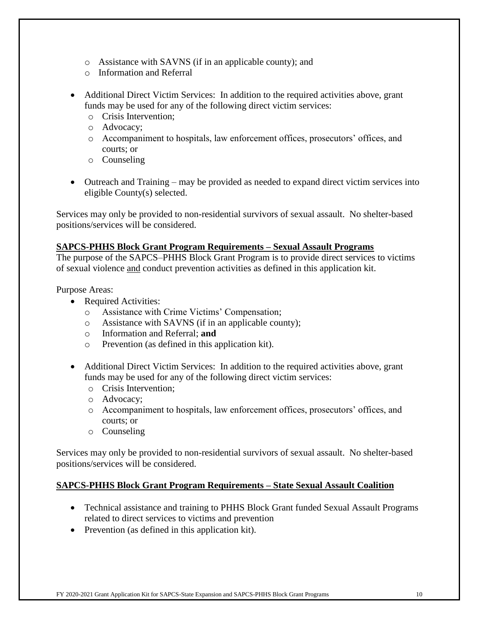- o Assistance with SAVNS (if in an applicable county); and
- o Information and Referral
- Additional Direct Victim Services: In addition to the required activities above, grant funds may be used for any of the following direct victim services:
	- o Crisis Intervention;
	- o Advocacy;
	- o Accompaniment to hospitals, law enforcement offices, prosecutors' offices, and courts; or
	- o Counseling
- Outreach and Training may be provided as needed to expand direct victim services into eligible County(s) selected.

Services may only be provided to non-residential survivors of sexual assault. No shelter-based positions/services will be considered.

#### **SAPCS-PHHS Block Grant Program Requirements – Sexual Assault Programs**

The purpose of the SAPCS–PHHS Block Grant Program is to provide direct services to victims of sexual violence and conduct prevention activities as defined in this application kit.

Purpose Areas:

- Required Activities:
	- o Assistance with Crime Victims' Compensation;
	- o Assistance with SAVNS (if in an applicable county);
	- o Information and Referral; **and**
	- o Prevention (as defined in this application kit).
- Additional Direct Victim Services: In addition to the required activities above, grant funds may be used for any of the following direct victim services:
	- o Crisis Intervention;
	- o Advocacy;
	- o Accompaniment to hospitals, law enforcement offices, prosecutors' offices, and courts; or
	- o Counseling

Services may only be provided to non-residential survivors of sexual assault. No shelter-based positions/services will be considered.

#### **SAPCS-PHHS Block Grant Program Requirements – State Sexual Assault Coalition**

- Technical assistance and training to PHHS Block Grant funded Sexual Assault Programs related to direct services to victims and prevention
- Prevention (as defined in this application kit).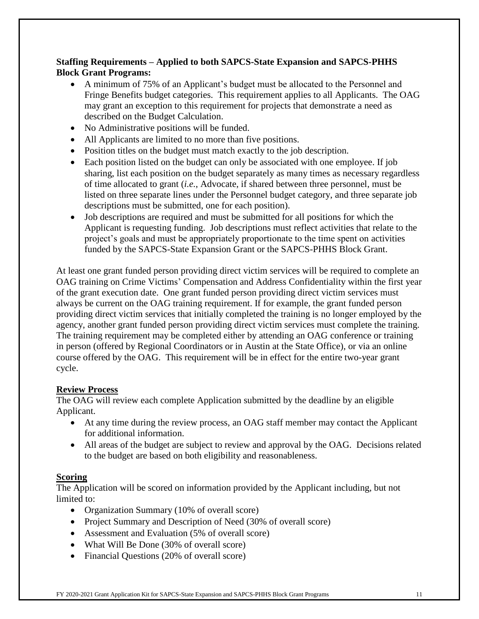#### **Staffing Requirements – Applied to both SAPCS-State Expansion and SAPCS-PHHS Block Grant Programs:**

- A minimum of 75% of an Applicant's budget must be allocated to the Personnel and Fringe Benefits budget categories. This requirement applies to all Applicants. The OAG may grant an exception to this requirement for projects that demonstrate a need as described on the Budget Calculation.
- No Administrative positions will be funded.
- All Applicants are limited to no more than five positions.
- Position titles on the budget must match exactly to the job description.
- Each position listed on the budget can only be associated with one employee. If job sharing, list each position on the budget separately as many times as necessary regardless of time allocated to grant (*i.e.*, Advocate, if shared between three personnel, must be listed on three separate lines under the Personnel budget category, and three separate job descriptions must be submitted, one for each position).
- Job descriptions are required and must be submitted for all positions for which the Applicant is requesting funding. Job descriptions must reflect activities that relate to the project's goals and must be appropriately proportionate to the time spent on activities funded by the SAPCS-State Expansion Grant or the SAPCS-PHHS Block Grant.

At least one grant funded person providing direct victim services will be required to complete an OAG training on Crime Victims' Compensation and Address Confidentiality within the first year of the grant execution date. One grant funded person providing direct victim services must always be current on the OAG training requirement. If for example, the grant funded person providing direct victim services that initially completed the training is no longer employed by the agency, another grant funded person providing direct victim services must complete the training. The training requirement may be completed either by attending an OAG conference or training in person (offered by Regional Coordinators or in Austin at the State Office), or via an online course offered by the OAG. This requirement will be in effect for the entire two-year grant cycle.

#### **Review Process**

The OAG will review each complete Application submitted by the deadline by an eligible Applicant.

- At any time during the review process, an OAG staff member may contact the Applicant for additional information.
- All areas of the budget are subject to review and approval by the OAG. Decisions related to the budget are based on both eligibility and reasonableness.

### **Scoring**

The Application will be scored on information provided by the Applicant including, but not limited to:

- Organization Summary (10% of overall score)
- Project Summary and Description of Need (30% of overall score)
- Assessment and Evaluation (5% of overall score)
- What Will Be Done (30% of overall score)
- Financial Questions (20% of overall score)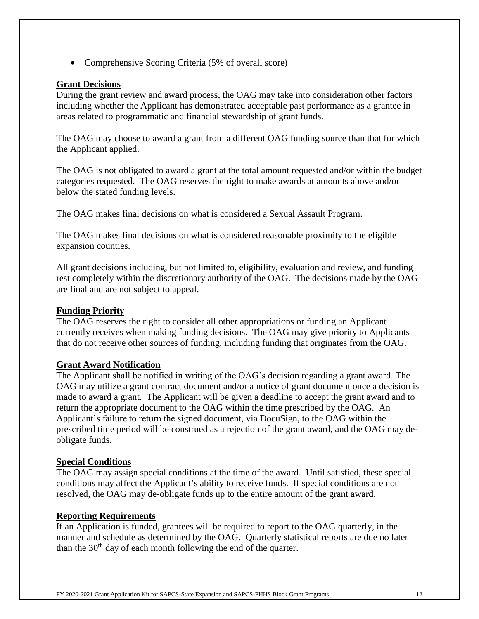• Comprehensive Scoring Criteria (5% of overall score)

#### **Grant Decisions**

During the grant review and award process, the OAG may take into consideration other factors including whether the Applicant has demonstrated acceptable past performance as a grantee in areas related to programmatic and financial stewardship of grant funds.

The OAG may choose to award a grant from a different OAG funding source than that for which the Applicant applied.

The OAG is not obligated to award a grant at the total amount requested and/or within the budget categories requested. The OAG reserves the right to make awards at amounts above and/or below the stated funding levels.

The OAG makes final decisions on what is considered a Sexual Assault Program.

The OAG makes final decisions on what is considered reasonable proximity to the eligible expansion counties.

All grant decisions including, but not limited to, eligibility, evaluation and review, and funding rest completely within the discretionary authority of the OAG. The decisions made by the OAG are final and are not subject to appeal.

#### **Funding Priority**

The OAG reserves the right to consider all other appropriations or funding an Applicant currently receives when making funding decisions. The OAG may give priority to Applicants that do not receive other sources of funding, including funding that originates from the OAG.

#### **Grant Award Notification**

The Applicant shall be notified in writing of the OAG's decision regarding a grant award. The OAG may utilize a grant contract document and/or a notice of grant document once a decision is made to award a grant. The Applicant will be given a deadline to accept the grant award and to return the appropriate document to the OAG within the time prescribed by the OAG. An Applicant's failure to return the signed document, via DocuSign, to the OAG within the prescribed time period will be construed as a rejection of the grant award, and the OAG may deobligate funds.

#### **Special Conditions**

The OAG may assign special conditions at the time of the award. Until satisfied, these special conditions may affect the Applicant's ability to receive funds. If special conditions are not resolved, the OAG may de-obligate funds up to the entire amount of the grant award.

#### **Reporting Requirements**

If an Application is funded, grantees will be required to report to the OAG quarterly, in the manner and schedule as determined by the OAG. Quarterly statistical reports are due no later than the  $30<sup>th</sup>$  day of each month following the end of the quarter.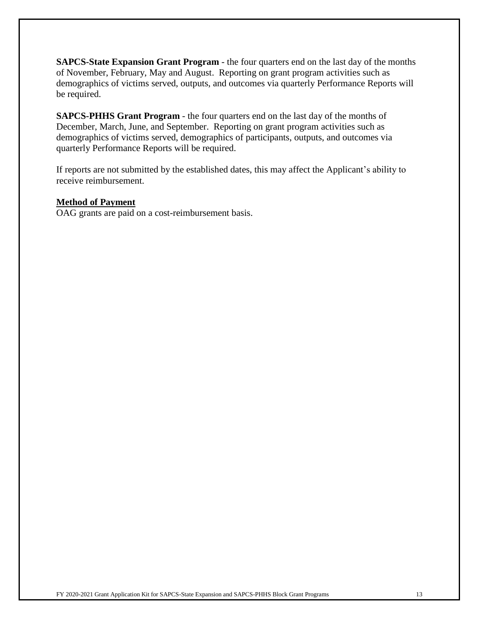**SAPCS-State Expansion Grant Program** - the four quarters end on the last day of the months of November, February, May and August. Reporting on grant program activities such as demographics of victims served, outputs, and outcomes via quarterly Performance Reports will be required.

**SAPCS-PHHS Grant Program** - the four quarters end on the last day of the months of December, March, June, and September. Reporting on grant program activities such as demographics of victims served, demographics of participants, outputs, and outcomes via quarterly Performance Reports will be required.

If reports are not submitted by the established dates, this may affect the Applicant's ability to receive reimbursement.

#### **Method of Payment**

OAG grants are paid on a cost-reimbursement basis.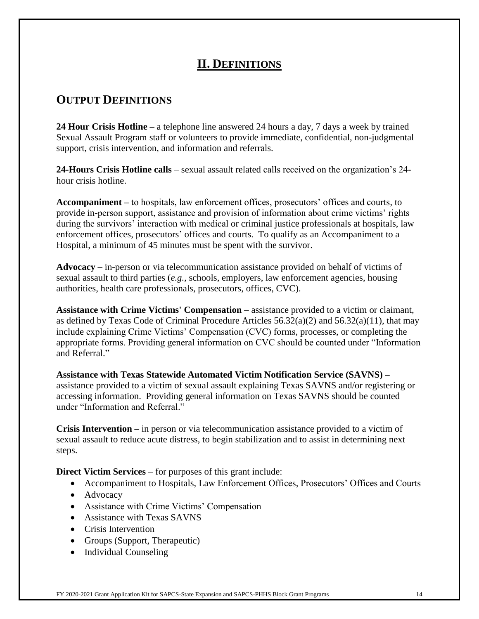## **II. DEFINITIONS**

# **OUTPUT DEFINITIONS**

**24 Hour Crisis Hotline –** a telephone line answered 24 hours a day, 7 days a week by trained Sexual Assault Program staff or volunteers to provide immediate, confidential, non-judgmental support, crisis intervention, and information and referrals.

**24-Hours Crisis Hotline calls** – sexual assault related calls received on the organization's 24 hour crisis hotline.

**Accompaniment –** to hospitals, law enforcement offices, prosecutors' offices and courts, to provide in-person support, assistance and provision of information about crime victims' rights during the survivors' interaction with medical or criminal justice professionals at hospitals, law enforcement offices, prosecutors' offices and courts. To qualify as an Accompaniment to a Hospital, a minimum of 45 minutes must be spent with the survivor.

**Advocacy –** in-person or via telecommunication assistance provided on behalf of victims of sexual assault to third parties (*e.g.,* schools, employers, law enforcement agencies, housing authorities, health care professionals, prosecutors, offices, CVC).

**Assistance with Crime Victims' Compensation** – assistance provided to a victim or claimant, as defined by Texas Code of Criminal Procedure Articles  $56.32(a)(2)$  and  $56.32(a)(11)$ , that may include explaining Crime Victims' Compensation (CVC) forms, processes, or completing the appropriate forms. Providing general information on CVC should be counted under "Information and Referral."

**Assistance with Texas Statewide Automated Victim Notification Service (SAVNS) –** assistance provided to a victim of sexual assault explaining Texas SAVNS and/or registering or accessing information. Providing general information on Texas SAVNS should be counted under "Information and Referral."

**Crisis Intervention –** in person or via telecommunication assistance provided to a victim of sexual assault to reduce acute distress, to begin stabilization and to assist in determining next steps.

**Direct Victim Services** – for purposes of this grant include:

- Accompaniment to Hospitals, Law Enforcement Offices, Prosecutors' Offices and Courts
- Advocacy
- Assistance with Crime Victims' Compensation
- Assistance with Texas SAVNS
- Crisis Intervention
- Groups (Support, Therapeutic)
- Individual Counseling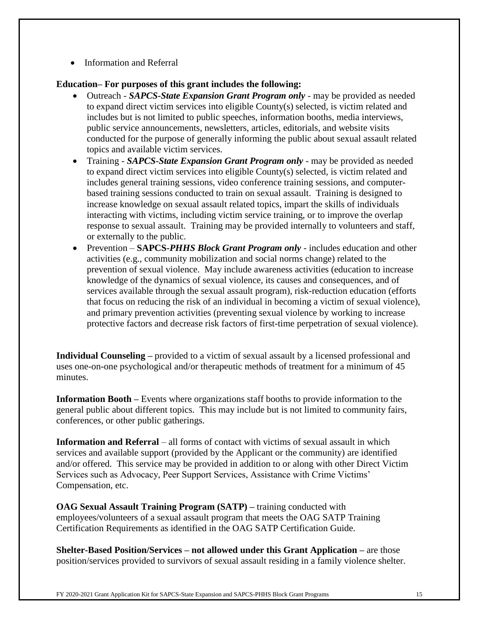• Information and Referral

### **Education– For purposes of this grant includes the following:**

- Outreach *SAPCS-State Expansion Grant Program only* may be provided as needed to expand direct victim services into eligible County(s) selected, is victim related and includes but is not limited to public speeches, information booths, media interviews, public service announcements, newsletters, articles, editorials, and website visits conducted for the purpose of generally informing the public about sexual assault related topics and available victim services.
- Training *SAPCS-State Expansion Grant Program only* may be provided as needed to expand direct victim services into eligible County(s) selected, is victim related and includes general training sessions, video conference training sessions, and computerbased training sessions conducted to train on sexual assault. Training is designed to increase knowledge on sexual assault related topics, impart the skills of individuals interacting with victims, including victim service training, or to improve the overlap response to sexual assault. Training may be provided internally to volunteers and staff, or externally to the public.
- Prevention **SAPCS-***PHHS Block Grant Program only* includes education and other activities (e.g., community mobilization and social norms change) related to the prevention of sexual violence. May include awareness activities (education to increase knowledge of the dynamics of sexual violence, its causes and consequences, and of services available through the sexual assault program), risk-reduction education (efforts that focus on reducing the risk of an individual in becoming a victim of sexual violence), and primary prevention activities (preventing sexual violence by working to increase protective factors and decrease risk factors of first-time perpetration of sexual violence).

**Individual Counseling** – provided to a victim of sexual assault by a licensed professional and uses one-on-one psychological and/or therapeutic methods of treatment for a minimum of 45 minutes.

**Information Booth** – Events where organizations staff booths to provide information to the general public about different topics. This may include but is not limited to community fairs, conferences, or other public gatherings.

**Information and Referral** – all forms of contact with victims of sexual assault in which services and available support (provided by the Applicant or the community) are identified and/or offered. This service may be provided in addition to or along with other Direct Victim Services such as Advocacy, Peer Support Services, Assistance with Crime Victims' Compensation, etc.

**OAG Sexual Assault Training Program (SATP) –** training conducted with employees/volunteers of a sexual assault program that meets the OAG SATP Training Certification Requirements as identified in the OAG SATP Certification Guide.

**Shelter-Based Position/Services – not allowed under this Grant Application –** are those position/services provided to survivors of sexual assault residing in a family violence shelter.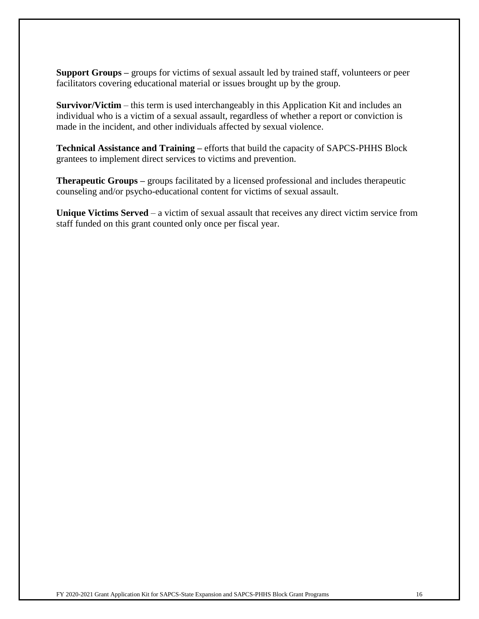**Support Groups –** groups for victims of sexual assault led by trained staff, volunteers or peer facilitators covering educational material or issues brought up by the group.

**Survivor/Victim** – this term is used interchangeably in this Application Kit and includes an individual who is a victim of a sexual assault, regardless of whether a report or conviction is made in the incident, and other individuals affected by sexual violence.

**Technical Assistance and Training –** efforts that build the capacity of SAPCS-PHHS Block grantees to implement direct services to victims and prevention.

**Therapeutic Groups –** groups facilitated by a licensed professional and includes therapeutic counseling and/or psycho-educational content for victims of sexual assault.

**Unique Victims Served** – a victim of sexual assault that receives any direct victim service from staff funded on this grant counted only once per fiscal year.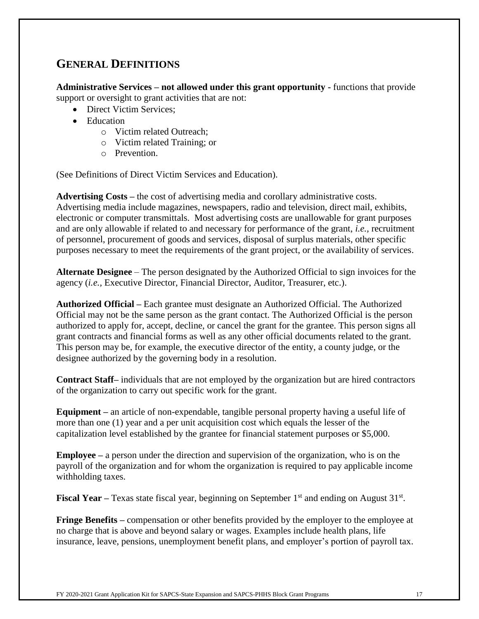## **GENERAL DEFINITIONS**

**Administrative Services – not allowed under this grant opportunity -** functions that provide support or oversight to grant activities that are not:

- Direct Victim Services:
- Education
	- o Victim related Outreach;
	- o Victim related Training; or
	- o Prevention.

(See Definitions of Direct Victim Services and Education).

**Advertising Costs –** the cost of advertising media and corollary administrative costs. Advertising media include magazines, newspapers, radio and television, direct mail, exhibits, electronic or computer transmittals. Most advertising costs are unallowable for grant purposes and are only allowable if related to and necessary for performance of the grant, *i.e.,* recruitment of personnel, procurement of goods and services, disposal of surplus materials, other specific purposes necessary to meet the requirements of the grant project, or the availability of services.

**Alternate Designee** – The person designated by the Authorized Official to sign invoices for the agency (*i.e.,* Executive Director, Financial Director, Auditor, Treasurer, etc.).

**Authorized Official –** Each grantee must designate an Authorized Official. The Authorized Official may not be the same person as the grant contact. The Authorized Official is the person authorized to apply for, accept, decline, or cancel the grant for the grantee. This person signs all grant contracts and financial forms as well as any other official documents related to the grant. This person may be, for example, the executive director of the entity, a county judge, or the designee authorized by the governing body in a resolution.

**Contract Staff–** individuals that are not employed by the organization but are hired contractors of the organization to carry out specific work for the grant.

**Equipment –** an article of non-expendable, tangible personal property having a useful life of more than one (1) year and a per unit acquisition cost which equals the lesser of the capitalization level established by the grantee for financial statement purposes or \$5,000.

**Employee –** a person under the direction and supervision of the organization, who is on the payroll of the organization and for whom the organization is required to pay applicable income withholding taxes.

**Fiscal Year** – Texas state fiscal year, beginning on September 1<sup>st</sup> and ending on August 31<sup>st</sup>.

**Fringe Benefits** – compensation or other benefits provided by the employer to the employee at no charge that is above and beyond salary or wages. Examples include health plans, life insurance, leave, pensions, unemployment benefit plans, and employer's portion of payroll tax.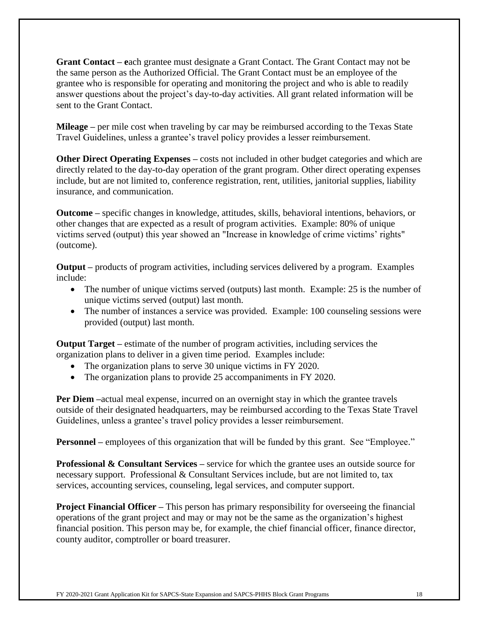**Grant Contact – e**ach grantee must designate a Grant Contact. The Grant Contact may not be the same person as the Authorized Official. The Grant Contact must be an employee of the grantee who is responsible for operating and monitoring the project and who is able to readily answer questions about the project's day-to-day activities. All grant related information will be sent to the Grant Contact.

**Mileage –** per mile cost when traveling by car may be reimbursed according to the Texas State Travel Guidelines, unless a grantee's travel policy provides a lesser reimbursement.

**Other Direct Operating Expenses** – costs not included in other budget categories and which are directly related to the day-to-day operation of the grant program. Other direct operating expenses include, but are not limited to, conference registration, rent, utilities, janitorial supplies, liability insurance, and communication.

**Outcome –** specific changes in knowledge, attitudes, skills, behavioral intentions, behaviors, or other changes that are expected as a result of program activities.Example: 80% of unique victims served (output) this year showed an "Increase in knowledge of crime victims' rights" (outcome).

**Output –** products of program activities, including services delivered by a program. Examples include:

- The number of unique victims served (outputs) last month. Example: 25 is the number of unique victims served (output) last month.
- The number of instances a service was provided. Example: 100 counseling sessions were provided (output) last month.

**Output Target –** estimate of the number of program activities, including services the organization plans to deliver in a given time period. Examples include:

- The organization plans to serve 30 unique victims in FY 2020.
- The organization plans to provide 25 accompaniments in FY 2020.

**Per Diem** –actual meal expense, incurred on an overnight stay in which the grantee travels outside of their designated headquarters, may be reimbursed according to the Texas State Travel Guidelines, unless a grantee's travel policy provides a lesser reimbursement.

**Personnel** – employees of this organization that will be funded by this grant. See "Employee."

**Professional & Consultant Services** – service for which the grantee uses an outside source for necessary support. Professional  $&$  Consultant Services include, but are not limited to, tax services, accounting services, counseling, legal services, and computer support.

**Project Financial Officer** – This person has primary responsibility for overseeing the financial operations of the grant project and may or may not be the same as the organization's highest financial position. This person may be, for example, the chief financial officer, finance director, county auditor, comptroller or board treasurer.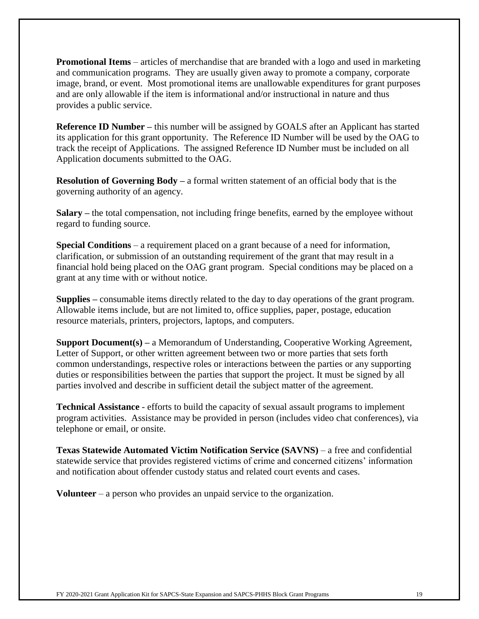**Promotional Items** – articles of merchandise that are branded with a logo and used in marketing and communication programs. They are usually given away to promote a company, corporate image, brand, or event. Most promotional items are unallowable expenditures for grant purposes and are only allowable if the item is informational and/or instructional in nature and thus provides a public service.

**Reference ID Number** – this number will be assigned by GOALS after an Applicant has started its application for this grant opportunity. The Reference ID Number will be used by the OAG to track the receipt of Applications. The assigned Reference ID Number must be included on all Application documents submitted to the OAG.

**Resolution of Governing Body –** a formal written statement of an official body that is the governing authority of an agency.

**Salary –** the total compensation, not including fringe benefits, earned by the employee without regard to funding source.

**Special Conditions** – a requirement placed on a grant because of a need for information, clarification, or submission of an outstanding requirement of the grant that may result in a financial hold being placed on the OAG grant program. Special conditions may be placed on a grant at any time with or without notice.

**Supplies –** consumable items directly related to the day to day operations of the grant program. Allowable items include, but are not limited to, office supplies, paper, postage, education resource materials, printers, projectors, laptops, and computers.

**Support Document(s) –** a Memorandum of Understanding, Cooperative Working Agreement, Letter of Support, or other written agreement between two or more parties that sets forth common understandings, respective roles or interactions between the parties or any supporting duties or responsibilities between the parties that support the project. It must be signed by all parties involved and describe in sufficient detail the subject matter of the agreement.

**Technical Assistance** - efforts to build the capacity of sexual assault programs to implement program activities. Assistance may be provided in person (includes video chat conferences), via telephone or email, or onsite.

**Texas Statewide Automated Victim Notification Service (SAVNS)** – a free and confidential statewide service that provides registered victims of crime and concerned citizens' information and notification about offender custody status and related court events and cases.

**Volunteer** – a person who provides an unpaid service to the organization.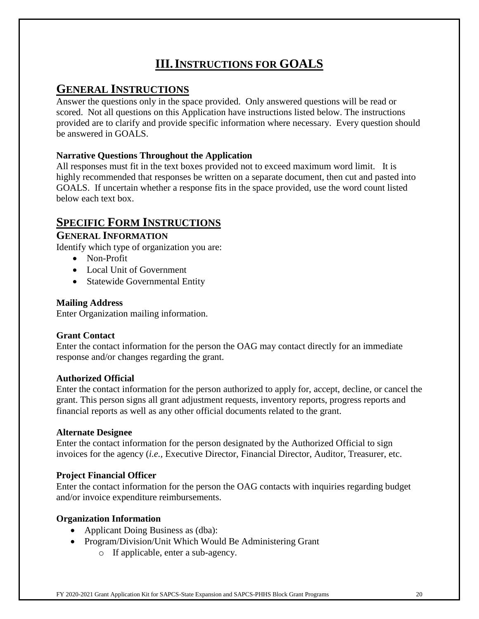# **III.INSTRUCTIONS FOR GOALS**

## **GENERAL INSTRUCTIONS**

Answer the questions only in the space provided. Only answered questions will be read or scored. Not all questions on this Application have instructions listed below. The instructions provided are to clarify and provide specific information where necessary. Every question should be answered in GOALS.

### **Narrative Questions Throughout the Application**

All responses must fit in the text boxes provided not to exceed maximum word limit. It is highly recommended that responses be written on a separate document, then cut and pasted into GOALS. If uncertain whether a response fits in the space provided, use the word count listed below each text box.

## **SPECIFIC FORM INSTRUCTIONS**

### **GENERAL INFORMATION**

Identify which type of organization you are:

- Non-Profit
- Local Unit of Government
- Statewide Governmental Entity

#### **Mailing Address**

Enter Organization mailing information.

### **Grant Contact**

Enter the contact information for the person the OAG may contact directly for an immediate response and/or changes regarding the grant.

#### **Authorized Official**

Enter the contact information for the person authorized to apply for, accept, decline, or cancel the grant. This person signs all grant adjustment requests, inventory reports, progress reports and financial reports as well as any other official documents related to the grant.

#### **Alternate Designee**

Enter the contact information for the person designated by the Authorized Official to sign invoices for the agency (*i.e.,* Executive Director, Financial Director, Auditor, Treasurer, etc.

### **Project Financial Officer**

Enter the contact information for the person the OAG contacts with inquiries regarding budget and/or invoice expenditure reimbursements.

### **Organization Information**

- Applicant Doing Business as (dba):
- Program/Division/Unit Which Would Be Administering Grant
	- o If applicable, enter a sub-agency.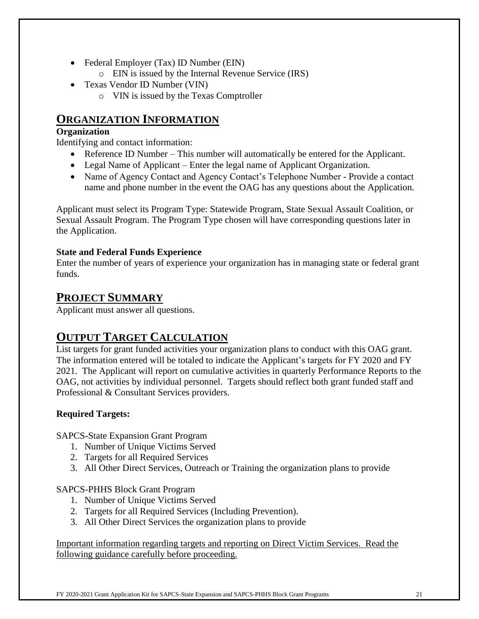- Federal Employer (Tax) ID Number (EIN)
	- o EIN is issued by the Internal Revenue Service (IRS)
- Texas Vendor ID Number (VIN)
	- o VIN is issued by the Texas Comptroller

## **ORGANIZATION INFORMATION**

#### **Organization**

Identifying and contact information:

- Reference ID Number This number will automatically be entered for the Applicant.
- Legal Name of Applicant Enter the legal name of Applicant Organization.
- Name of Agency Contact and Agency Contact's Telephone Number Provide a contact name and phone number in the event the OAG has any questions about the Application.

Applicant must select its Program Type: Statewide Program, State Sexual Assault Coalition, or Sexual Assault Program. The Program Type chosen will have corresponding questions later in the Application.

#### **State and Federal Funds Experience**

Enter the number of years of experience your organization has in managing state or federal grant funds.

## **PROJECT SUMMARY**

Applicant must answer all questions.

## **OUTPUT TARGET CALCULATION**

List targets for grant funded activities your organization plans to conduct with this OAG grant. The information entered will be totaled to indicate the Applicant's targets for FY 2020 and FY 2021. The Applicant will report on cumulative activities in quarterly Performance Reports to the OAG, not activities by individual personnel. Targets should reflect both grant funded staff and Professional & Consultant Services providers.

### **Required Targets:**

SAPCS-State Expansion Grant Program

- 1. Number of Unique Victims Served
- 2. Targets for all Required Services
- 3. All Other Direct Services, Outreach or Training the organization plans to provide

### SAPCS-PHHS Block Grant Program

- 1. Number of Unique Victims Served
- 2. Targets for all Required Services (Including Prevention).
- 3. All Other Direct Services the organization plans to provide

Important information regarding targets and reporting on Direct Victim Services. Read the following guidance carefully before proceeding.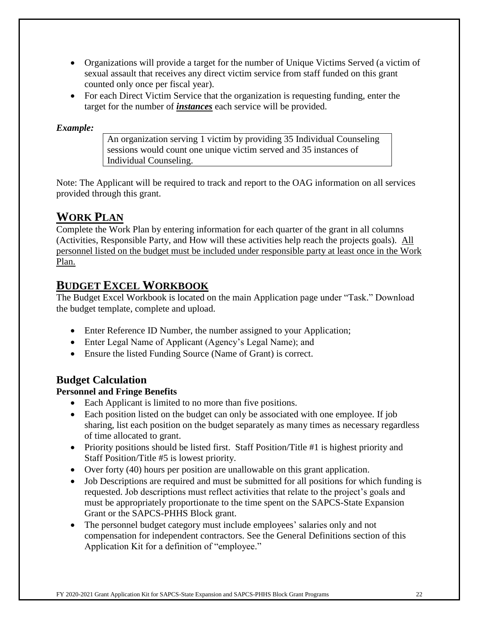- Organizations will provide a target for the number of Unique Victims Served (a victim of sexual assault that receives any direct victim service from staff funded on this grant counted only once per fiscal year).
- For each Direct Victim Service that the organization is requesting funding, enter the target for the number of *instances* each service will be provided.

#### *Example:*

An organization serving 1 victim by providing 35 Individual Counseling sessions would count one unique victim served and 35 instances of Individual Counseling.

Note: The Applicant will be required to track and report to the OAG information on all services provided through this grant.

## **WORK PLAN**

Complete the Work Plan by entering information for each quarter of the grant in all columns (Activities, Responsible Party, and How will these activities help reach the projects goals). All personnel listed on the budget must be included under responsible party at least once in the Work Plan.

## **BUDGET EXCEL WORKBOOK**

The Budget Excel Workbook is located on the main Application page under "Task." Download the budget template, complete and upload.

- Enter Reference ID Number, the number assigned to your Application;
- Enter Legal Name of Applicant (Agency's Legal Name); and
- Ensure the listed Funding Source (Name of Grant) is correct.

### **Budget Calculation**

### **Personnel and Fringe Benefits**

- Each Applicant is limited to no more than five positions.
- Each position listed on the budget can only be associated with one employee. If job sharing, list each position on the budget separately as many times as necessary regardless of time allocated to grant.
- Priority positions should be listed first. Staff Position/Title #1 is highest priority and Staff Position/Title #5 is lowest priority.
- Over forty (40) hours per position are unallowable on this grant application.
- Job Descriptions are required and must be submitted for all positions for which funding is requested. Job descriptions must reflect activities that relate to the project's goals and must be appropriately proportionate to the time spent on the SAPCS-State Expansion Grant or the SAPCS-PHHS Block grant.
- The personnel budget category must include employees' salaries only and not compensation for independent contractors. See the General Definitions section of this Application Kit for a definition of "employee."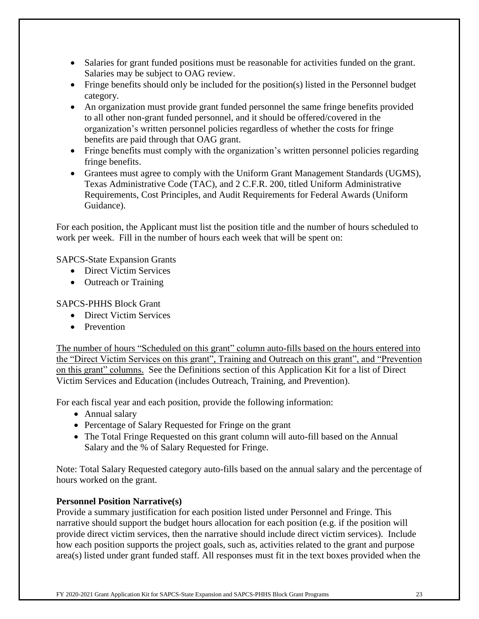- Salaries for grant funded positions must be reasonable for activities funded on the grant. Salaries may be subject to OAG review.
- Fringe benefits should only be included for the position(s) listed in the Personnel budget category.
- An organization must provide grant funded personnel the same fringe benefits provided to all other non-grant funded personnel, and it should be offered/covered in the organization's written personnel policies regardless of whether the costs for fringe benefits are paid through that OAG grant.
- Fringe benefits must comply with the organization's written personnel policies regarding fringe benefits.
- Grantees must agree to comply with the Uniform Grant Management Standards (UGMS), Texas Administrative Code (TAC), and 2 C.F.R. 200, titled Uniform Administrative Requirements, Cost Principles, and Audit Requirements for Federal Awards (Uniform Guidance).

For each position, the Applicant must list the position title and the number of hours scheduled to work per week. Fill in the number of hours each week that will be spent on:

SAPCS-State Expansion Grants

- Direct Victim Services
- Outreach or Training

#### SAPCS-PHHS Block Grant

- Direct Victim Services
- Prevention

The number of hours "Scheduled on this grant" column auto-fills based on the hours entered into the "Direct Victim Services on this grant", Training and Outreach on this grant", and "Prevention on this grant" columns. See the Definitions section of this Application Kit for a list of Direct Victim Services and Education (includes Outreach, Training, and Prevention).

For each fiscal year and each position, provide the following information:

- Annual salary
- Percentage of Salary Requested for Fringe on the grant
- The Total Fringe Requested on this grant column will auto-fill based on the Annual Salary and the % of Salary Requested for Fringe.

Note: Total Salary Requested category auto-fills based on the annual salary and the percentage of hours worked on the grant.

#### **Personnel Position Narrative(s)**

Provide a summary justification for each position listed under Personnel and Fringe. This narrative should support the budget hours allocation for each position (e.g. if the position will provide direct victim services, then the narrative should include direct victim services). Include how each position supports the project goals, such as, activities related to the grant and purpose area(s) listed under grant funded staff. All responses must fit in the text boxes provided when the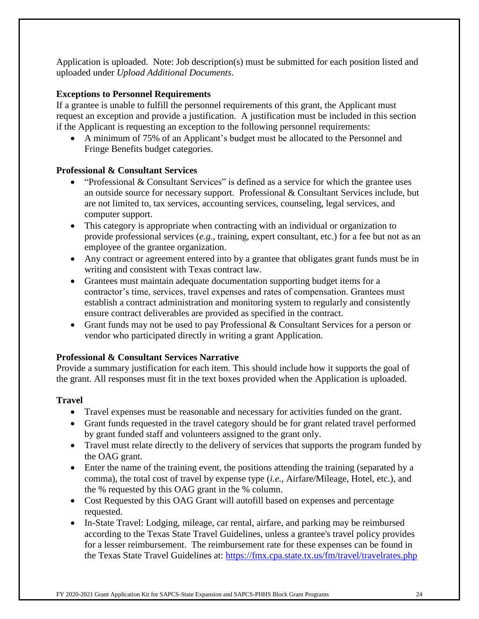Application is uploaded. Note: Job description(s) must be submitted for each position listed and uploaded under *Upload Additional Documents*.

#### **Exceptions to Personnel Requirements**

If a grantee is unable to fulfill the personnel requirements of this grant, the Applicant must request an exception and provide a justification. A justification must be included in this section if the Applicant is requesting an exception to the following personnel requirements:

• A minimum of 75% of an Applicant's budget must be allocated to the Personnel and Fringe Benefits budget categories.

#### **Professional & Consultant Services**

- "Professional  $&$  Consultant Services" is defined as a service for which the grantee uses an outside source for necessary support. Professional & Consultant Services include, but are not limited to, tax services, accounting services, counseling, legal services, and computer support.
- This category is appropriate when contracting with an individual or organization to provide professional services (*e.g.,* training, expert consultant, etc.) for a fee but not as an employee of the grantee organization.
- Any contract or agreement entered into by a grantee that obligates grant funds must be in writing and consistent with Texas contract law.
- Grantees must maintain adequate documentation supporting budget items for a contractor's time, services, travel expenses and rates of compensation. Grantees must establish a contract administration and monitoring system to regularly and consistently ensure contract deliverables are provided as specified in the contract.
- Grant funds may not be used to pay Professional & Consultant Services for a person or vendor who participated directly in writing a grant Application.

#### **Professional & Consultant Services Narrative**

Provide a summary justification for each item. This should include how it supports the goal of the grant. All responses must fit in the text boxes provided when the Application is uploaded.

#### **Travel**

- Travel expenses must be reasonable and necessary for activities funded on the grant.
- Grant funds requested in the travel category should be for grant related travel performed by grant funded staff and volunteers assigned to the grant only.
- Travel must relate directly to the delivery of services that supports the program funded by the OAG grant.
- Enter the name of the training event, the positions attending the training (separated by a comma), the total cost of travel by expense type (*i.e.,* Airfare/Mileage, Hotel, etc.), and the % requested by this OAG grant in the % column.
- Cost Requested by this OAG Grant will autofill based on expenses and percentage requested.
- In-State Travel: Lodging, mileage, car rental, airfare, and parking may be reimbursed according to the Texas State Travel Guidelines, unless a grantee's travel policy provides for a lesser reimbursement. The reimbursement rate for these expenses can be found in the Texas State Travel Guidelines at:<https://fmx.cpa.state.tx.us/fm/travel/travelrates.php>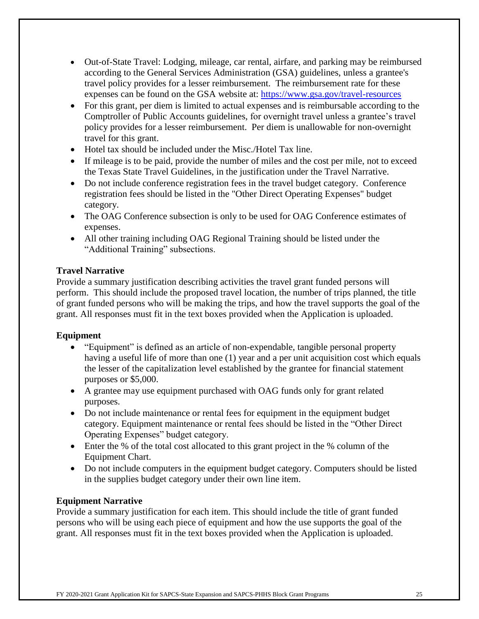- Out-of-State Travel: Lodging, mileage, car rental, airfare, and parking may be reimbursed according to the General Services Administration (GSA) guidelines, unless a grantee's travel policy provides for a lesser reimbursement. The reimbursement rate for these expenses can be found on the GSA website at: <https://www.gsa.gov/travel-resources>
- For this grant, per diem is limited to actual expenses and is reimbursable according to the Comptroller of Public Accounts guidelines, for overnight travel unless a grantee's travel policy provides for a lesser reimbursement. Per diem is unallowable for non-overnight travel for this grant.
- Hotel tax should be included under the Misc./Hotel Tax line.
- If mileage is to be paid, provide the number of miles and the cost per mile, not to exceed the Texas State Travel Guidelines, in the justification under the Travel Narrative.
- Do not include conference registration fees in the travel budget category. Conference registration fees should be listed in the "Other Direct Operating Expenses" budget category.
- The OAG Conference subsection is only to be used for OAG Conference estimates of expenses.
- All other training including OAG Regional Training should be listed under the "Additional Training" subsections.

#### **Travel Narrative**

Provide a summary justification describing activities the travel grant funded persons will perform. This should include the proposed travel location, the number of trips planned, the title of grant funded persons who will be making the trips, and how the travel supports the goal of the grant. All responses must fit in the text boxes provided when the Application is uploaded.

#### **Equipment**

- "Equipment" is defined as an article of non-expendable, tangible personal property having a useful life of more than one (1) year and a per unit acquisition cost which equals the lesser of the capitalization level established by the grantee for financial statement purposes or \$5,000.
- A grantee may use equipment purchased with OAG funds only for grant related purposes.
- Do not include maintenance or rental fees for equipment in the equipment budget category. Equipment maintenance or rental fees should be listed in the "Other Direct Operating Expenses" budget category.
- Enter the % of the total cost allocated to this grant project in the % column of the Equipment Chart.
- Do not include computers in the equipment budget category. Computers should be listed in the supplies budget category under their own line item.

### **Equipment Narrative**

Provide a summary justification for each item. This should include the title of grant funded persons who will be using each piece of equipment and how the use supports the goal of the grant. All responses must fit in the text boxes provided when the Application is uploaded.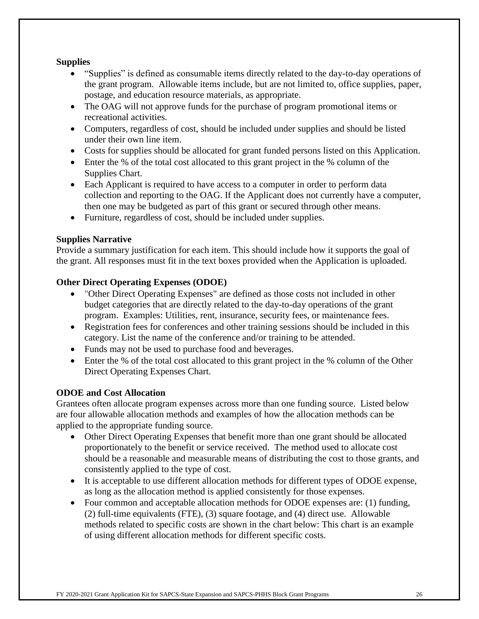#### **Supplies**

- "Supplies" is defined as consumable items directly related to the day-to-day operations of the grant program. Allowable items include, but are not limited to, office supplies, paper, postage, and education resource materials, as appropriate.
- The OAG will not approve funds for the purchase of program promotional items or recreational activities.
- Computers, regardless of cost, should be included under supplies and should be listed under their own line item.
- Costs for supplies should be allocated for grant funded persons listed on this Application.
- Enter the % of the total cost allocated to this grant project in the % column of the Supplies Chart.
- Each Applicant is required to have access to a computer in order to perform data collection and reporting to the OAG. If the Applicant does not currently have a computer, then one may be budgeted as part of this grant or secured through other means.
- Furniture, regardless of cost, should be included under supplies.

#### **Supplies Narrative**

Provide a summary justification for each item. This should include how it supports the goal of the grant. All responses must fit in the text boxes provided when the Application is uploaded.

#### **Other Direct Operating Expenses (ODOE)**

- "Other Direct Operating Expenses" are defined as those costs not included in other budget categories that are directly related to the day-to-day operations of the grant program. Examples: Utilities, rent, insurance, security fees, or maintenance fees.
- Registration fees for conferences and other training sessions should be included in this category. List the name of the conference and/or training to be attended.
- Funds may not be used to purchase food and beverages.
- Enter the % of the total cost allocated to this grant project in the % column of the Other Direct Operating Expenses Chart.

#### **ODOE and Cost Allocation**

Grantees often allocate program expenses across more than one funding source. Listed below are four allowable allocation methods and examples of how the allocation methods can be applied to the appropriate funding source.

- Other Direct Operating Expenses that benefit more than one grant should be allocated proportionately to the benefit or service received. The method used to allocate cost should be a reasonable and measurable means of distributing the cost to those grants, and consistently applied to the type of cost.
- It is acceptable to use different allocation methods for different types of ODOE expense, as long as the allocation method is applied consistently for those expenses.
- Four common and acceptable allocation methods for ODOE expenses are: (1) funding, (2) full-time equivalents (FTE), (3) square footage, and (4) direct use. Allowable methods related to specific costs are shown in the chart below: This chart is an example of using different allocation methods for different specific costs.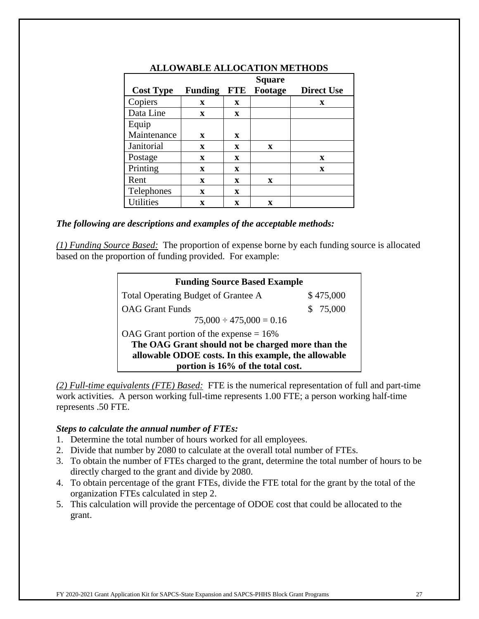|                  |                |             | <b>Square</b> |                   |
|------------------|----------------|-------------|---------------|-------------------|
| <b>Cost Type</b> | <b>Funding</b> | <b>FTE</b>  | Footage       | <b>Direct Use</b> |
| Copiers          | X              | X           |               | X                 |
| Data Line        | $\mathbf x$    | $\mathbf x$ |               |                   |
| Equip            |                |             |               |                   |
| Maintenance      | X              | $\mathbf x$ |               |                   |
| Janitorial       | $\mathbf x$    | $\mathbf x$ | $\mathbf x$   |                   |
| Postage          | $\mathbf{x}$   | X           |               | X                 |
| Printing         | $\mathbf{x}$   | X           |               | $\mathbf x$       |
| Rent             | $\mathbf x$    | X           | X             |                   |
| Telephones       | $\mathbf x$    | $\mathbf x$ |               |                   |
| <b>Utilities</b> | $\mathbf x$    | x           | X             |                   |

#### **ALLOWABLE ALLOCATION METHODS**

#### *The following are descriptions and examples of the acceptable methods:*

*(1) Funding Source Based:* The proportion of expense borne by each funding source is allocated based on the proportion of funding provided. For example:

| <b>Funding Source Based Example</b>                  |           |  |
|------------------------------------------------------|-----------|--|
| Total Operating Budget of Grantee A                  | \$475,000 |  |
| <b>OAG</b> Grant Funds                               | \$75,000  |  |
| $75,000 \div 475,000 = 0.16$                         |           |  |
| OAG Grant portion of the expense $= 16\%$            |           |  |
| The OAG Grant should not be charged more than the    |           |  |
| allowable ODOE costs. In this example, the allowable |           |  |
| portion is 16% of the total cost.                    |           |  |

*(2) Full-time equivalents (FTE) Based:* FTE is the numerical representation of full and part-time work activities. A person working full-time represents 1.00 FTE; a person working half-time represents .50 FTE.

#### *Steps to calculate the annual number of FTEs:*

- 1. Determine the total number of hours worked for all employees.
- 2. Divide that number by 2080 to calculate at the overall total number of FTEs.
- 3. To obtain the number of FTEs charged to the grant, determine the total number of hours to be directly charged to the grant and divide by 2080.
- 4. To obtain percentage of the grant FTEs, divide the FTE total for the grant by the total of the organization FTEs calculated in step 2.
- 5. This calculation will provide the percentage of ODOE cost that could be allocated to the grant.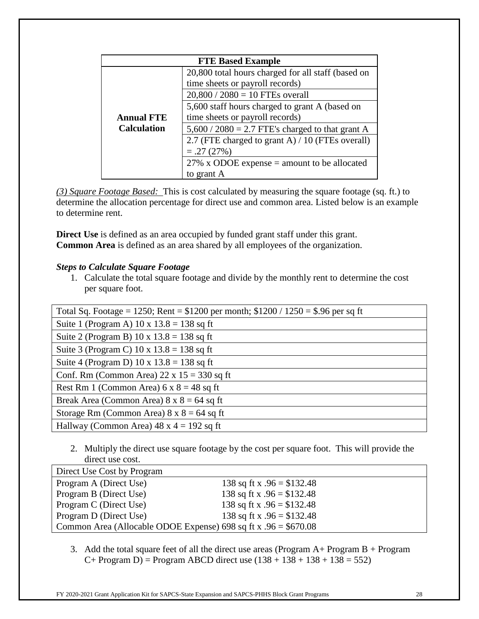| <b>FTE Based Example</b> |                                                    |  |
|--------------------------|----------------------------------------------------|--|
|                          | 20,800 total hours charged for all staff (based on |  |
|                          | time sheets or payroll records)                    |  |
|                          | $20,800 / 2080 = 10$ FTEs overall                  |  |
|                          | 5,600 staff hours charged to grant A (based on     |  |
| <b>Annual FTE</b>        | time sheets or payroll records)                    |  |
| <b>Calculation</b>       | $5,600 / 2080 = 2.7$ FTE's charged to that grant A |  |
|                          | 2.7 (FTE charged to grant A) / 10 (FTEs overall)   |  |
|                          | $=.27(27%)$                                        |  |
|                          | 27% x ODOE expense $=$ amount to be allocated      |  |
|                          | to grant A                                         |  |

*(3) Square Footage Based:* This is cost calculated by measuring the square footage (sq. ft.) to determine the allocation percentage for direct use and common area. Listed below is an example to determine rent.

**Direct Use** is defined as an area occupied by funded grant staff under this grant. **Common Area** is defined as an area shared by all employees of the organization.

#### *Steps to Calculate Square Footage*

1. Calculate the total square footage and divide by the monthly rent to determine the cost per square foot.

| Total Sq. Footage = 1250; Rent = $$1200$ per month; $$1200 / 1250 = $.96$ per sq ft |
|-------------------------------------------------------------------------------------|
| Suite 1 (Program A) $10 \times 13.8 = 138$ sq ft                                    |
| Suite 2 (Program B) $10 \times 13.8 = 138$ sq ft                                    |
| Suite 3 (Program C) $10 \times 13.8 = 138$ sq ft                                    |
| Suite 4 (Program D) 10 x $13.8 = 138$ sq ft                                         |
| Conf. Rm (Common Area) $22 \times 15 = 330$ sq ft                                   |
| Rest Rm 1 (Common Area) $6 \times 8 = 48$ sq ft                                     |
| Break Area (Common Area) $8 \times 8 = 64$ sq ft                                    |
| Storage Rm (Common Area) $8 \times 8 = 64$ sq ft                                    |
| Hallway (Common Area) $48 \times 4 = 192$ sq ft                                     |

2. Multiply the direct use square footage by the cost per square foot. This will provide the direct use cost.

| Direct Use Cost by Program                                       |                             |
|------------------------------------------------------------------|-----------------------------|
| Program A (Direct Use)                                           | 138 sq ft x $.96 = $132.48$ |
| Program B (Direct Use)                                           | 138 sq ft x $.96 = $132.48$ |
| Program C (Direct Use)                                           | 138 sq ft x $.96 = $132.48$ |
| Program D (Direct Use)                                           | 138 sq ft x $.96 = $132.48$ |
| Common Area (Allocable ODOE Expense) 698 sq ft x $.96 = $670.08$ |                             |

3. Add the total square feet of all the direct use areas (Program A+ Program B + Program  $C+$  Program D) = Program ABCD direct use  $(138 + 138 + 138 + 138 = 552)$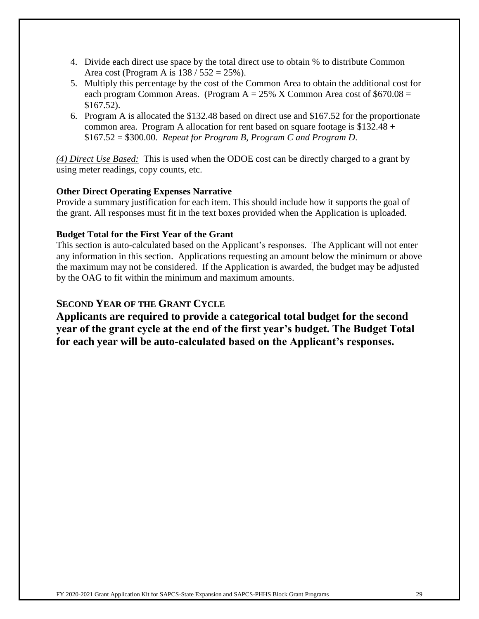- 4. Divide each direct use space by the total direct use to obtain % to distribute Common Area cost (Program A is  $138 / 552 = 25\%$ ).
- 5. Multiply this percentage by the cost of the Common Area to obtain the additional cost for each program Common Areas. (Program  $A = 25\%$  X Common Area cost of \$670.08 = \$167.52).
- 6. Program A is allocated the \$132.48 based on direct use and \$167.52 for the proportionate common area. Program A allocation for rent based on square footage is  $$132.48 +$ \$167.52 = \$300.00. *Repeat for Program B, Program C and Program D*.

*(4) Direct Use Based:* This is used when the ODOE cost can be directly charged to a grant by using meter readings, copy counts, etc.

#### **Other Direct Operating Expenses Narrative**

Provide a summary justification for each item. This should include how it supports the goal of the grant. All responses must fit in the text boxes provided when the Application is uploaded.

#### **Budget Total for the First Year of the Grant**

This section is auto-calculated based on the Applicant's responses. The Applicant will not enter any information in this section. Applications requesting an amount below the minimum or above the maximum may not be considered. If the Application is awarded, the budget may be adjusted by the OAG to fit within the minimum and maximum amounts.

### **SECOND YEAR OF THE GRANT CYCLE**

**Applicants are required to provide a categorical total budget for the second year of the grant cycle at the end of the first year's budget. The Budget Total for each year will be auto-calculated based on the Applicant's responses.**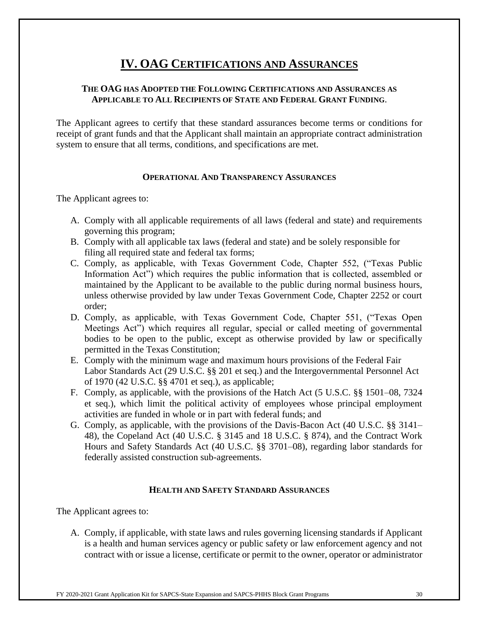# **IV. OAG CERTIFICATIONS AND ASSURANCES**

#### **THE OAG HAS ADOPTED THE FOLLOWING CERTIFICATIONS AND ASSURANCES AS APPLICABLE TO ALL RECIPIENTS OF STATE AND FEDERAL GRANT FUNDING**.

The Applicant agrees to certify that these standard assurances become terms or conditions for receipt of grant funds and that the Applicant shall maintain an appropriate contract administration system to ensure that all terms, conditions, and specifications are met.

#### **OPERATIONAL AND TRANSPARENCY ASSURANCES**

The Applicant agrees to:

- A. Comply with all applicable requirements of all laws (federal and state) and requirements governing this program;
- B. Comply with all applicable tax laws (federal and state) and be solely responsible for filing all required state and federal tax forms;
- C. Comply, as applicable, with Texas Government Code, Chapter 552, ("Texas Public Information Act") which requires the public information that is collected, assembled or maintained by the Applicant to be available to the public during normal business hours, unless otherwise provided by law under Texas Government Code, Chapter 2252 or court order;
- D. Comply, as applicable, with Texas Government Code, Chapter 551, ("Texas Open Meetings Act") which requires all regular, special or called meeting of governmental bodies to be open to the public, except as otherwise provided by law or specifically permitted in the Texas Constitution;
- E. Comply with the minimum wage and maximum hours provisions of the Federal Fair Labor Standards Act (29 U.S.C. §§ 201 et seq.) and the Intergovernmental Personnel Act of 1970 (42 U.S.C. §§ 4701 et seq.), as applicable;
- F. Comply, as applicable, with the provisions of the Hatch Act (5 U.S.C. §§ 1501–08, 7324 et seq.), which limit the political activity of employees whose principal employment activities are funded in whole or in part with federal funds; and
- G. Comply, as applicable, with the provisions of the Davis-Bacon Act (40 U.S.C. §§ 3141– 48), the Copeland Act (40 U.S.C. § 3145 and 18 U.S.C. § 874), and the Contract Work Hours and Safety Standards Act (40 U.S.C. §§ 3701–08), regarding labor standards for federally assisted construction sub-agreements.

#### **HEALTH AND SAFETY STANDARD ASSURANCES**

The Applicant agrees to:

A. Comply, if applicable, with state laws and rules governing licensing standards if Applicant is a health and human services agency or public safety or law enforcement agency and not contract with or issue a license, certificate or permit to the owner, operator or administrator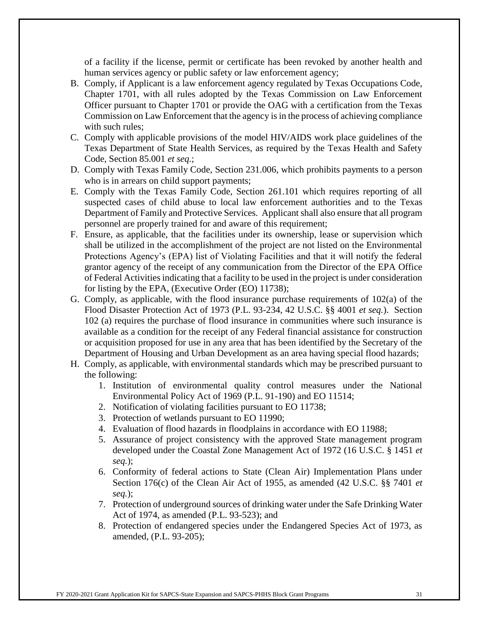of a facility if the license, permit or certificate has been revoked by another health and human services agency or public safety or law enforcement agency;

- B. Comply, if Applicant is a law enforcement agency regulated by Texas Occupations Code, Chapter 1701, with all rules adopted by the Texas Commission on Law Enforcement Officer pursuant to Chapter 1701 or provide the OAG with a certification from the Texas Commission on Law Enforcement that the agency is in the process of achieving compliance with such rules;
- C. Comply with applicable provisions of the model HIV/AIDS work place guidelines of the Texas Department of State Health Services, as required by the Texas Health and Safety Code, Section 85.001 *et seq.*;
- D. Comply with Texas Family Code, Section 231.006, which prohibits payments to a person who is in arrears on child support payments;
- E. Comply with the Texas Family Code, Section 261.101 which requires reporting of all suspected cases of child abuse to local law enforcement authorities and to the Texas Department of Family and Protective Services. Applicant shall also ensure that all program personnel are properly trained for and aware of this requirement;
- F. Ensure, as applicable, that the facilities under its ownership, lease or supervision which shall be utilized in the accomplishment of the project are not listed on the Environmental Protections Agency's (EPA) list of Violating Facilities and that it will notify the federal grantor agency of the receipt of any communication from the Director of the EPA Office of Federal Activities indicating that a facility to be used in the project is under consideration for listing by the EPA, (Executive Order (EO) 11738);
- G. Comply, as applicable, with the flood insurance purchase requirements of  $102(a)$  of the Flood Disaster Protection Act of 1973 (P.L. 93-234, 42 U.S.C. §§ 4001 *et seq.*). Section 102 (a) requires the purchase of flood insurance in communities where such insurance is available as a condition for the receipt of any Federal financial assistance for construction or acquisition proposed for use in any area that has been identified by the Secretary of the Department of Housing and Urban Development as an area having special flood hazards;
- H. Comply, as applicable, with environmental standards which may be prescribed pursuant to the following:
	- 1. Institution of environmental quality control measures under the National Environmental Policy Act of 1969 (P.L. 91-190) and EO 11514;
	- 2. Notification of violating facilities pursuant to EO 11738;
	- 3. Protection of wetlands pursuant to EO 11990;
	- 4. Evaluation of flood hazards in floodplains in accordance with EO 11988;
	- 5. Assurance of project consistency with the approved State management program developed under the Coastal Zone Management Act of 1972 (16 U.S.C. § 1451 *et seq.*);
	- 6. Conformity of federal actions to State (Clean Air) Implementation Plans under Section 176(c) of the Clean Air Act of 1955, as amended (42 U.S.C. §§ 7401 *et seq.*);
	- 7. Protection of underground sources of drinking water under the Safe Drinking Water Act of 1974, as amended (P.L. 93-523); and
	- 8. Protection of endangered species under the Endangered Species Act of 1973, as amended, (P.L. 93-205);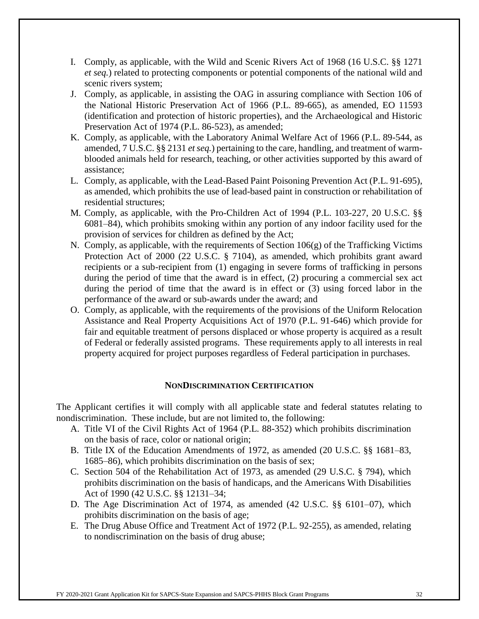- I. Comply, as applicable, with the Wild and Scenic Rivers Act of 1968 (16 U.S.C. §§ 1271 *et seq.*) related to protecting components or potential components of the national wild and scenic rivers system;
- J. Comply, as applicable, in assisting the OAG in assuring compliance with Section 106 of the National Historic Preservation Act of 1966 (P.L. 89-665), as amended, EO 11593 (identification and protection of historic properties), and the Archaeological and Historic Preservation Act of 1974 (P.L. 86-523), as amended;
- K. Comply, as applicable, with the Laboratory Animal Welfare Act of 1966 (P.L. 89-544, as amended, 7 U.S.C. §§ 2131 *et seq.*) pertaining to the care, handling, and treatment of warmblooded animals held for research, teaching, or other activities supported by this award of assistance;
- L. Comply, as applicable, with the Lead-Based Paint Poisoning Prevention Act (P.L. 91-695), as amended, which prohibits the use of lead-based paint in construction or rehabilitation of residential structures;
- M. Comply, as applicable, with the Pro-Children Act of 1994 (P.L. 103-227, 20 U.S.C. §§ 6081–84), which prohibits smoking within any portion of any indoor facility used for the provision of services for children as defined by the Act;
- N. Comply, as applicable, with the requirements of Section 106(g) of the Trafficking Victims Protection Act of 2000 (22 U.S.C. § 7104), as amended, which prohibits grant award recipients or a sub-recipient from (1) engaging in severe forms of trafficking in persons during the period of time that the award is in effect, (2) procuring a commercial sex act during the period of time that the award is in effect or (3) using forced labor in the performance of the award or sub-awards under the award; and
- O. Comply, as applicable, with the requirements of the provisions of the Uniform Relocation Assistance and Real Property Acquisitions Act of 1970 (P.L. 91-646) which provide for fair and equitable treatment of persons displaced or whose property is acquired as a result of Federal or federally assisted programs. These requirements apply to all interests in real property acquired for project purposes regardless of Federal participation in purchases.

#### **NONDISCRIMINATION CERTIFICATION**

The Applicant certifies it will comply with all applicable state and federal statutes relating to nondiscrimination. These include, but are not limited to, the following:

- A. Title VI of the Civil Rights Act of 1964 (P.L. 88-352) which prohibits discrimination on the basis of race, color or national origin;
- B. Title IX of the Education Amendments of 1972, as amended (20 U.S.C. §§ 1681–83, 1685–86), which prohibits discrimination on the basis of sex;
- C. Section 504 of the Rehabilitation Act of 1973, as amended (29 U.S.C. § 794), which prohibits discrimination on the basis of handicaps, and the Americans With Disabilities Act of 1990 (42 U.S.C. §§ 12131–34;
- D. The Age Discrimination Act of 1974, as amended (42 U.S.C. §§ 6101–07), which prohibits discrimination on the basis of age;
- E. The Drug Abuse Office and Treatment Act of 1972 (P.L. 92-255), as amended, relating to nondiscrimination on the basis of drug abuse;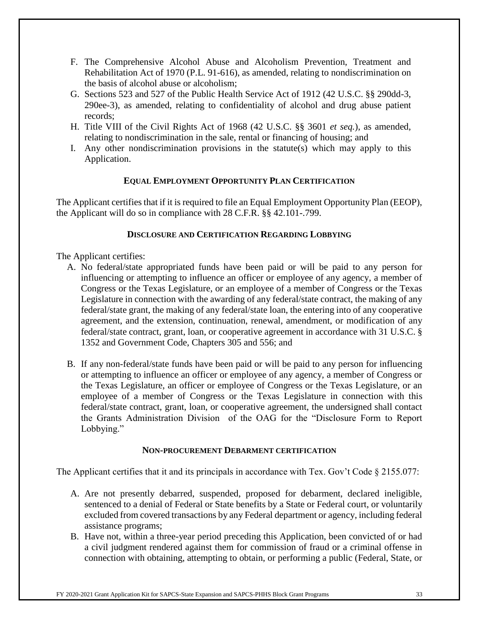- F. The Comprehensive Alcohol Abuse and Alcoholism Prevention, Treatment and Rehabilitation Act of 1970 (P.L. 91-616), as amended, relating to nondiscrimination on the basis of alcohol abuse or alcoholism;
- G. Sections 523 and 527 of the Public Health Service Act of 1912 (42 U.S.C. §§ 290dd-3, 290ee-3), as amended, relating to confidentiality of alcohol and drug abuse patient records;
- H. Title VIII of the Civil Rights Act of 1968 (42 U.S.C. §§ 3601 *et seq.*), as amended, relating to nondiscrimination in the sale, rental or financing of housing; and
- I. Any other nondiscrimination provisions in the statute(s) which may apply to this Application.

#### **EQUAL EMPLOYMENT OPPORTUNITY PLAN CERTIFICATION**

The Applicant certifies that if it is required to file an Equal Employment Opportunity Plan (EEOP), the Applicant will do so in compliance with 28 C.F.R. §§ 42.101-.799.

#### **DISCLOSURE AND CERTIFICATION REGARDING LOBBYING**

#### The Applicant certifies:

- A. No federal/state appropriated funds have been paid or will be paid to any person for influencing or attempting to influence an officer or employee of any agency, a member of Congress or the Texas Legislature, or an employee of a member of Congress or the Texas Legislature in connection with the awarding of any federal/state contract, the making of any federal/state grant, the making of any federal/state loan, the entering into of any cooperative agreement, and the extension, continuation, renewal, amendment, or modification of any federal/state contract, grant, loan, or cooperative agreement in accordance with 31 U.S.C. § 1352 and Government Code, Chapters 305 and 556; and
- B. If any non-federal/state funds have been paid or will be paid to any person for influencing or attempting to influence an officer or employee of any agency, a member of Congress or the Texas Legislature, an officer or employee of Congress or the Texas Legislature, or an employee of a member of Congress or the Texas Legislature in connection with this federal/state contract, grant, loan, or cooperative agreement, the undersigned shall contact the Grants Administration Division of the OAG for the "Disclosure Form to Report Lobbying."

#### **NON-PROCUREMENT DEBARMENT CERTIFICATION**

The Applicant certifies that it and its principals in accordance with Tex. Gov't Code  $\S 2155.077$ :

- A. Are not presently debarred, suspended, proposed for debarment, declared ineligible, sentenced to a denial of Federal or State benefits by a State or Federal court, or voluntarily excluded from covered transactions by any Federal department or agency, including federal assistance programs;
- B. Have not, within a three-year period preceding this Application, been convicted of or had a civil judgment rendered against them for commission of fraud or a criminal offense in connection with obtaining, attempting to obtain, or performing a public (Federal, State, or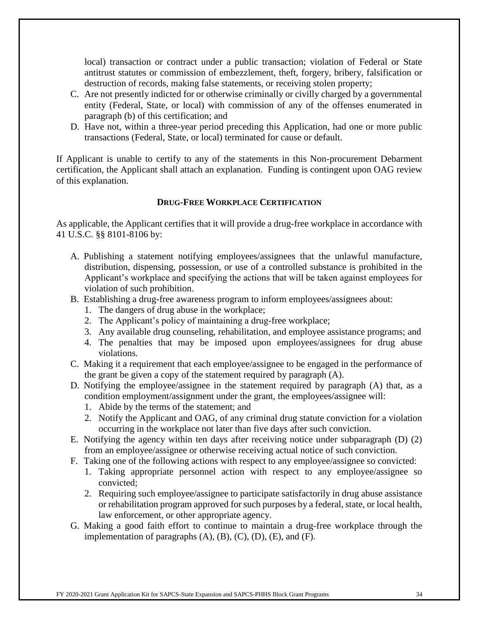local) transaction or contract under a public transaction; violation of Federal or State antitrust statutes or commission of embezzlement, theft, forgery, bribery, falsification or destruction of records, making false statements, or receiving stolen property;

- C. Are not presently indicted for or otherwise criminally or civilly charged by a governmental entity (Federal, State, or local) with commission of any of the offenses enumerated in paragraph (b) of this certification; and
- D. Have not, within a three-year period preceding this Application, had one or more public transactions (Federal, State, or local) terminated for cause or default.

If Applicant is unable to certify to any of the statements in this Non-procurement Debarment certification, the Applicant shall attach an explanation. Funding is contingent upon OAG review of this explanation.

#### **DRUG-FREE WORKPLACE CERTIFICATION**

As applicable, the Applicant certifies that it will provide a drug-free workplace in accordance with 41 U.S.C. §§ 8101-8106 by:

- A. Publishing a statement notifying employees/assignees that the unlawful manufacture, distribution, dispensing, possession, or use of a controlled substance is prohibited in the Applicant's workplace and specifying the actions that will be taken against employees for violation of such prohibition.
- B. Establishing a drug-free awareness program to inform employees/assignees about:
	- 1. The dangers of drug abuse in the workplace;
	- 2. The Applicant's policy of maintaining a drug-free workplace;
	- 3. Any available drug counseling, rehabilitation, and employee assistance programs; and
	- 4. The penalties that may be imposed upon employees/assignees for drug abuse violations.
- C. Making it a requirement that each employee/assignee to be engaged in the performance of the grant be given a copy of the statement required by paragraph (A).
- D. Notifying the employee/assignee in the statement required by paragraph (A) that, as a condition employment/assignment under the grant, the employees/assignee will:
	- 1. Abide by the terms of the statement; and
	- 2. Notify the Applicant and OAG, of any criminal drug statute conviction for a violation occurring in the workplace not later than five days after such conviction.
- E. Notifying the agency within ten days after receiving notice under subparagraph (D) (2) from an employee/assignee or otherwise receiving actual notice of such conviction.
- F. Taking one of the following actions with respect to any employee/assignee so convicted:
	- 1. Taking appropriate personnel action with respect to any employee/assignee so convicted;
	- 2. Requiring such employee/assignee to participate satisfactorily in drug abuse assistance or rehabilitation program approved for such purposes by a federal, state, or local health, law enforcement, or other appropriate agency.
- G. Making a good faith effort to continue to maintain a drug-free workplace through the implementation of paragraphs  $(A)$ ,  $(B)$ ,  $(C)$ ,  $(D)$ ,  $(E)$ , and  $(F)$ .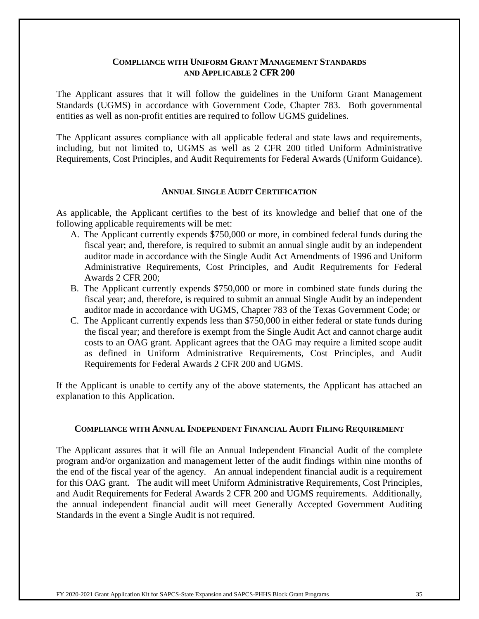#### **COMPLIANCE WITH UNIFORM GRANT MANAGEMENT STANDARDS AND APPLICABLE 2 CFR 200**

The Applicant assures that it will follow the guidelines in the Uniform Grant Management Standards (UGMS) in accordance with Government Code, Chapter 783. Both governmental entities as well as non-profit entities are required to follow UGMS guidelines.

The Applicant assures compliance with all applicable federal and state laws and requirements, including, but not limited to, UGMS as well as 2 CFR 200 titled Uniform Administrative Requirements, Cost Principles, and Audit Requirements for Federal Awards (Uniform Guidance).

#### **ANNUAL SINGLE AUDIT CERTIFICATION**

As applicable, the Applicant certifies to the best of its knowledge and belief that one of the following applicable requirements will be met:

- A. The Applicant currently expends \$750,000 or more, in combined federal funds during the fiscal year; and, therefore, is required to submit an annual single audit by an independent auditor made in accordance with the Single Audit Act Amendments of 1996 and Uniform Administrative Requirements, Cost Principles, and Audit Requirements for Federal Awards 2 CFR 200;
- B. The Applicant currently expends \$750,000 or more in combined state funds during the fiscal year; and, therefore, is required to submit an annual Single Audit by an independent auditor made in accordance with UGMS, Chapter 783 of the Texas Government Code; or
- C. The Applicant currently expends less than \$750,000 in either federal or state funds during the fiscal year; and therefore is exempt from the Single Audit Act and cannot charge audit costs to an OAG grant. Applicant agrees that the OAG may require a limited scope audit as defined in Uniform Administrative Requirements, Cost Principles, and Audit Requirements for Federal Awards 2 CFR 200 and UGMS.

If the Applicant is unable to certify any of the above statements, the Applicant has attached an explanation to this Application.

#### **COMPLIANCE WITH ANNUAL INDEPENDENT FINANCIAL AUDIT FILING REQUIREMENT**

The Applicant assures that it will file an Annual Independent Financial Audit of the complete program and/or organization and management letter of the audit findings within nine months of the end of the fiscal year of the agency. An annual independent financial audit is a requirement for this OAG grant. The audit will meet Uniform Administrative Requirements, Cost Principles, and Audit Requirements for Federal Awards 2 CFR 200 and UGMS requirements. Additionally, the annual independent financial audit will meet Generally Accepted Government Auditing Standards in the event a Single Audit is not required.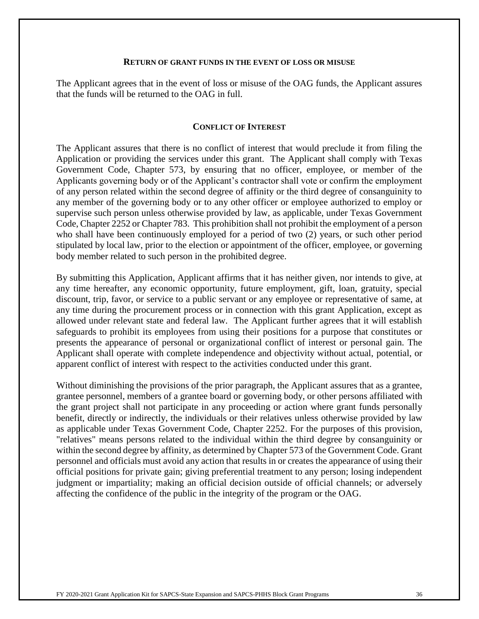#### **RETURN OF GRANT FUNDS IN THE EVENT OF LOSS OR MISUSE**

The Applicant agrees that in the event of loss or misuse of the OAG funds, the Applicant assures that the funds will be returned to the OAG in full.

#### **CONFLICT OF INTEREST**

The Applicant assures that there is no conflict of interest that would preclude it from filing the Application or providing the services under this grant. The Applicant shall comply with Texas Government Code, Chapter 573, by ensuring that no officer, employee, or member of the Applicants governing body or of the Applicant's contractor shall vote or confirm the employment of any person related within the second degree of affinity or the third degree of consanguinity to any member of the governing body or to any other officer or employee authorized to employ or supervise such person unless otherwise provided by law, as applicable, under Texas Government Code, Chapter 2252 or Chapter 783. This prohibition shall not prohibit the employment of a person who shall have been continuously employed for a period of two (2) years, or such other period stipulated by local law, prior to the election or appointment of the officer, employee, or governing body member related to such person in the prohibited degree.

By submitting this Application, Applicant affirms that it has neither given, nor intends to give, at any time hereafter, any economic opportunity, future employment, gift, loan, gratuity, special discount, trip, favor, or service to a public servant or any employee or representative of same, at any time during the procurement process or in connection with this grant Application, except as allowed under relevant state and federal law. The Applicant further agrees that it will establish safeguards to prohibit its employees from using their positions for a purpose that constitutes or presents the appearance of personal or organizational conflict of interest or personal gain. The Applicant shall operate with complete independence and objectivity without actual, potential, or apparent conflict of interest with respect to the activities conducted under this grant.

Without diminishing the provisions of the prior paragraph, the Applicant assures that as a grantee, grantee personnel, members of a grantee board or governing body, or other persons affiliated with the grant project shall not participate in any proceeding or action where grant funds personally benefit, directly or indirectly, the individuals or their relatives unless otherwise provided by law as applicable under Texas Government Code, Chapter 2252. For the purposes of this provision, "relatives" means persons related to the individual within the third degree by consanguinity or within the second degree by affinity, as determined by Chapter 573 of the Government Code. Grant personnel and officials must avoid any action that results in or creates the appearance of using their official positions for private gain; giving preferential treatment to any person; losing independent judgment or impartiality; making an official decision outside of official channels; or adversely affecting the confidence of the public in the integrity of the program or the OAG.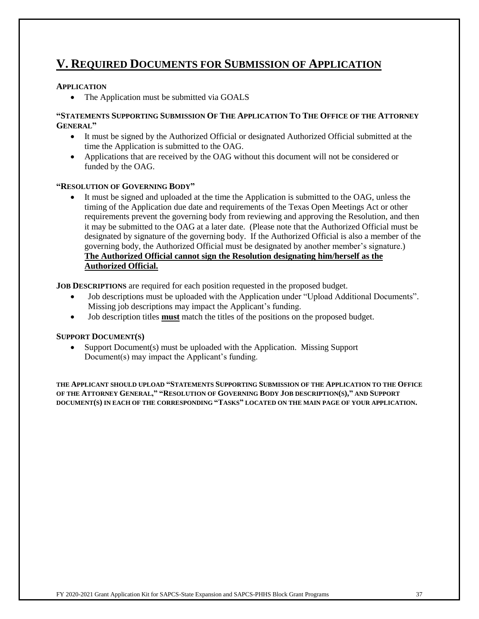## **V. REQUIRED DOCUMENTS FOR SUBMISSION OF APPLICATION**

#### **APPLICATION**

• The Application must be submitted via GOALS

#### **"STATEMENTS SUPPORTING SUBMISSION OF THE APPLICATION TO THE OFFICE OF THE ATTORNEY GENERAL"**

- It must be signed by the Authorized Official or designated Authorized Official submitted at the time the Application is submitted to the OAG.
- Applications that are received by the OAG without this document will not be considered or funded by the OAG.

#### **"RESOLUTION OF GOVERNING BODY"**

It must be signed and uploaded at the time the Application is submitted to the OAG, unless the timing of the Application due date and requirements of the Texas Open Meetings Act or other requirements prevent the governing body from reviewing and approving the Resolution, and then it may be submitted to the OAG at a later date. (Please note that the Authorized Official must be designated by signature of the governing body. If the Authorized Official is also a member of the governing body, the Authorized Official must be designated by another member's signature.) **The Authorized Official cannot sign the Resolution designating him/herself as the Authorized Official.**

**JOB DESCRIPTIONS** are required for each position requested in the proposed budget.

- Job descriptions must be uploaded with the Application under "Upload Additional Documents". Missing job descriptions may impact the Applicant's funding.
- Job description titles **must** match the titles of the positions on the proposed budget.

#### **SUPPORT DOCUMENT(S)**

• Support Document(s) must be uploaded with the Application. Missing Support Document(s) may impact the Applicant's funding.

**THE APPLICANT SHOULD UPLOAD "STATEMENTS SUPPORTING SUBMISSION OF THE APPLICATION TO THE OFFICE**  OF THE ATTORNEY GENERAL," "RESOLUTION OF GOVERNING BODY JOB DESCRIPTION(S)," AND SUPPORT **DOCUMENT(S) IN EACH OF THE CORRESPONDING "TASKS" LOCATED ON THE MAIN PAGE OF YOUR APPLICATION.**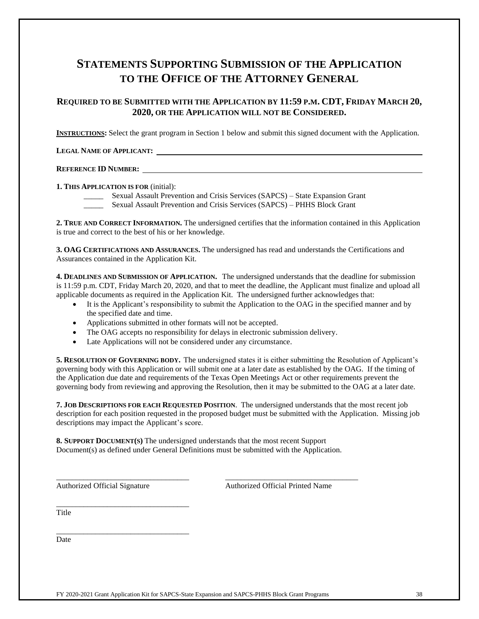## **STATEMENTS SUPPORTING SUBMISSION OF THE APPLICATION TO THE OFFICE OF THE ATTORNEY GENERAL**

#### **REQUIRED TO BE SUBMITTED WITH THE APPLICATION BY 11:59 P.M. CDT, FRIDAY MARCH 20, 2020, OR THE APPLICATION WILL NOT BE CONSIDERED.**

**INSTRUCTIONS:** Select the grant program in Section 1 below and submit this signed document with the Application.

#### **LEGAL NAME OF APPLICANT:**

#### **REFERENCE ID NUMBER:**

#### **1. THIS APPLICATION IS FOR** (initial):

\_\_\_\_\_ Sexual Assault Prevention and Crisis Services (SAPCS) – State Expansion Grant

\_\_\_\_\_ Sexual Assault Prevention and Crisis Services (SAPCS) – PHHS Block Grant

**2. TRUE AND CORRECT INFORMATION.** The undersigned certifies that the information contained in this Application is true and correct to the best of his or her knowledge.

**3. OAG CERTIFICATIONS AND ASSURANCES.** The undersigned has read and understands the Certifications and Assurances contained in the Application Kit.

**4. DEADLINES AND SUBMISSION OF APPLICATION.** The undersigned understands that the deadline for submission is 11:59 p.m. CDT, Friday March 20, 2020, and that to meet the deadline, the Applicant must finalize and upload all applicable documents as required in the Application Kit. The undersigned further acknowledges that:

- It is the Applicant's responsibility to submit the Application to the OAG in the specified manner and by the specified date and time.
- Applications submitted in other formats will not be accepted.
- The OAG accepts no responsibility for delays in electronic submission delivery.
- Late Applications will not be considered under any circumstance.

**5. RESOLUTION OF GOVERNING BODY.** The undersigned states it is either submitting the Resolution of Applicant's governing body with this Application or will submit one at a later date as established by the OAG. If the timing of the Application due date and requirements of the Texas Open Meetings Act or other requirements prevent the governing body from reviewing and approving the Resolution, then it may be submitted to the OAG at a later date.

**7. JOB DESCRIPTIONS FOR EACH REQUESTED POSITION**. The undersigned understands that the most recent job description for each position requested in the proposed budget must be submitted with the Application. Missing job descriptions may impact the Applicant's score.

**8. SUPPORT DOCUMENT(S)** The undersigned understands that the most recent Support Document(s) as defined under General Definitions must be submitted with the Application.

\_\_\_\_\_\_\_\_\_\_\_\_\_\_\_\_\_\_\_\_\_\_\_\_\_\_\_\_\_\_\_\_\_\_ \_\_\_\_\_\_\_\_\_\_\_\_\_\_\_\_\_\_\_\_\_\_\_\_\_\_\_\_\_\_\_\_\_\_

\_\_\_\_\_\_\_\_\_\_\_\_\_\_\_\_\_\_\_\_\_\_\_\_\_\_\_\_\_\_\_\_\_\_

Authorized Official Signature Authorized Official Printed Name

\_\_\_\_\_\_\_\_\_\_\_\_\_\_\_\_\_\_\_\_\_\_\_\_\_\_\_\_\_\_\_\_\_\_ **Title** 

Date